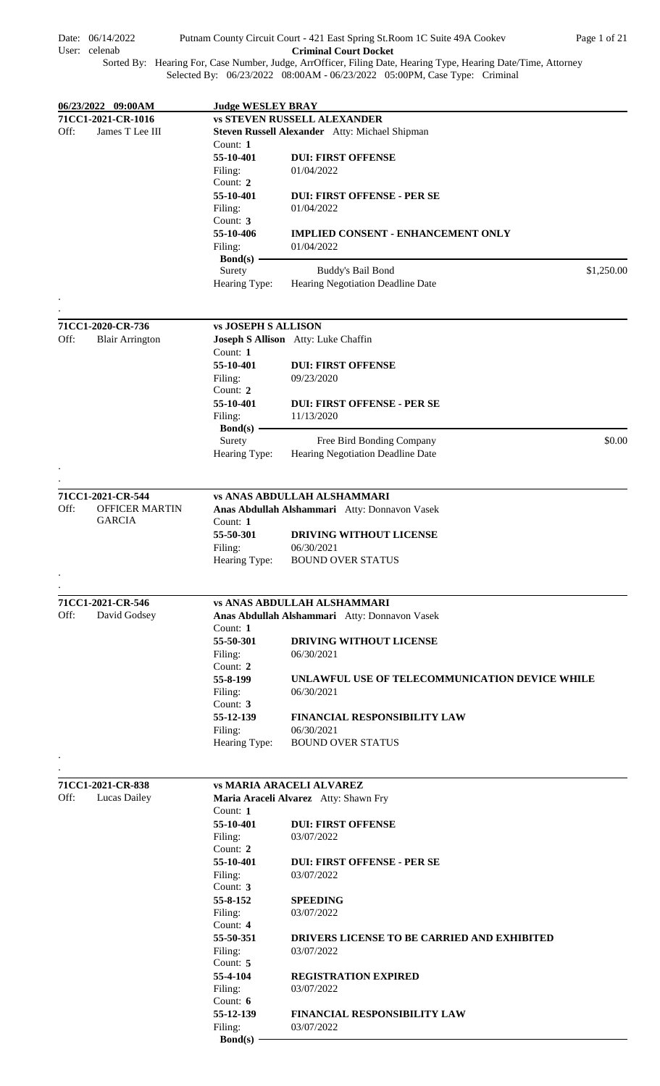| $Bond(s)$ —<br>Buddy's Bail Bond<br>Hearing Negotiation Deadline Date<br>Hearing Type:<br><b>vs JOSEPH S ALLISON</b> | \$1,250.00                                                                                                                                                                                                                                                                                                                                                                                                                                 |
|----------------------------------------------------------------------------------------------------------------------|--------------------------------------------------------------------------------------------------------------------------------------------------------------------------------------------------------------------------------------------------------------------------------------------------------------------------------------------------------------------------------------------------------------------------------------------|
|                                                                                                                      |                                                                                                                                                                                                                                                                                                                                                                                                                                            |
|                                                                                                                      |                                                                                                                                                                                                                                                                                                                                                                                                                                            |
|                                                                                                                      |                                                                                                                                                                                                                                                                                                                                                                                                                                            |
| 01/04/2022                                                                                                           |                                                                                                                                                                                                                                                                                                                                                                                                                                            |
|                                                                                                                      |                                                                                                                                                                                                                                                                                                                                                                                                                                            |
|                                                                                                                      |                                                                                                                                                                                                                                                                                                                                                                                                                                            |
|                                                                                                                      |                                                                                                                                                                                                                                                                                                                                                                                                                                            |
|                                                                                                                      |                                                                                                                                                                                                                                                                                                                                                                                                                                            |
|                                                                                                                      |                                                                                                                                                                                                                                                                                                                                                                                                                                            |
|                                                                                                                      |                                                                                                                                                                                                                                                                                                                                                                                                                                            |
|                                                                                                                      |                                                                                                                                                                                                                                                                                                                                                                                                                                            |
|                                                                                                                      |                                                                                                                                                                                                                                                                                                                                                                                                                                            |
|                                                                                                                      |                                                                                                                                                                                                                                                                                                                                                                                                                                            |
| <b>vs STEVEN RUSSELL ALEXANDER</b>                                                                                   |                                                                                                                                                                                                                                                                                                                                                                                                                                            |
| <b>Judge WESLEY BRAY</b>                                                                                             |                                                                                                                                                                                                                                                                                                                                                                                                                                            |
| Selected By: 06/23/2022 08:00AM - 06/23/2022 05:00PM, Case Type: Criminal                                            |                                                                                                                                                                                                                                                                                                                                                                                                                                            |
|                                                                                                                      |                                                                                                                                                                                                                                                                                                                                                                                                                                            |
|                                                                                                                      |                                                                                                                                                                                                                                                                                                                                                                                                                                            |
| 55-10-401<br>55-10-401<br>55-10-406                                                                                  | Putnam County Circuit Court - 421 East Spring St. Room 1C Suite 49A Cookev<br>Page 1 of 21<br><b>Criminal Court Docket</b><br>Sorted By: Hearing For, Case Number, Judge, ArrOfficer, Filing Date, Hearing Type, Hearing Date/Time, Attorney<br>Steven Russell Alexander Atty: Michael Shipman<br><b>DUI: FIRST OFFENSE</b><br>01/04/2022<br><b>DUI: FIRST OFFENSE - PER SE</b><br>01/04/2022<br><b>IMPLIED CONSENT - ENHANCEMENT ONLY</b> |

**55-50-301 DRIVING WITHOUT LICENSE**<br>Filing: 06/30/2021 Filing: 06/30/2021<br>Hearing Type: BOUND O' BOUND OVER STATUS

|      | 71CC1-2021-CR-546 |  |
|------|-------------------|--|
| Off: | David Godsey      |  |

**71CC1-2021-CR-544**

GARCIA

OFFICER MARTIN

. .

Off:

. .

. .

# **vs ANAS ABDULLAH ALSHAMMARI**

**vs ANAS ABDULLAH ALSHAMMARI**

Hearing Type: Hearing Negotiation Deadline Date

**Anas Abdullah Alshammari** Atty: Donnavon Vasek

**55-10-401 DUI: FIRST OFFENSE - PER SE** 

Surety Free Bird Bonding Company \$0.00

Count: **2**

**Bond(s)**

Count: 1<br>55-50-301

Filing: 11/13/2020

|               | VS ANAS ADIJULLAH ALSHAMIYIANI                       |
|---------------|------------------------------------------------------|
|               | <b>Anas Abdullah Alshammari</b> Atty: Donnavon Vasek |
| Count: 1      |                                                      |
| 55-50-301     | <b>DRIVING WITHOUT LICENSE</b>                       |
| Filing:       | 06/30/2021                                           |
| Count: $2$    |                                                      |
| 55-8-199      | UNLAWFUL USE OF TELECOMMUNICATION DEVICE WHILE       |
| Filing:       | 06/30/2021                                           |
| Count: $3$    |                                                      |
| 55-12-139     | <b>FINANCIAL RESPONSIBILITY LAW</b>                  |
| Filing:       | 06/30/2021                                           |
| Hearing Type: | <b>BOUND OVER STATUS</b>                             |
|               |                                                      |

|      | 71CC1-2021-CR-838 |             | <b>vs MARIA ARACELI ALVAREZ</b>             |
|------|-------------------|-------------|---------------------------------------------|
| Off: | Lucas Dailey      |             | Maria Araceli Alvarez Atty: Shawn Fry       |
|      |                   | Count: $1$  |                                             |
|      |                   | 55-10-401   | <b>DUI: FIRST OFFENSE</b>                   |
|      |                   | Filing:     | 03/07/2022                                  |
|      |                   | Count: $2$  |                                             |
|      |                   | 55-10-401   | <b>DUI: FIRST OFFENSE - PER SE</b>          |
|      |                   | Filing:     | 03/07/2022                                  |
|      |                   | Count: 3    |                                             |
|      |                   | 55-8-152    | <b>SPEEDING</b>                             |
|      |                   | Filing:     | 03/07/2022                                  |
|      |                   | Count: $4$  |                                             |
|      |                   | 55-50-351   | DRIVERS LICENSE TO BE CARRIED AND EXHIBITED |
|      |                   | Filing:     | 03/07/2022                                  |
|      |                   | Count: $5$  |                                             |
|      |                   | 55-4-104    | <b>REGISTRATION EXPIRED</b>                 |
|      |                   | Filing:     | 03/07/2022                                  |
|      |                   | Count: $6$  |                                             |
|      |                   | 55-12-139   | <b>FINANCIAL RESPONSIBILITY LAW</b>         |
|      |                   | Filing:     | 03/07/2022                                  |
|      |                   | $Bond(s) -$ |                                             |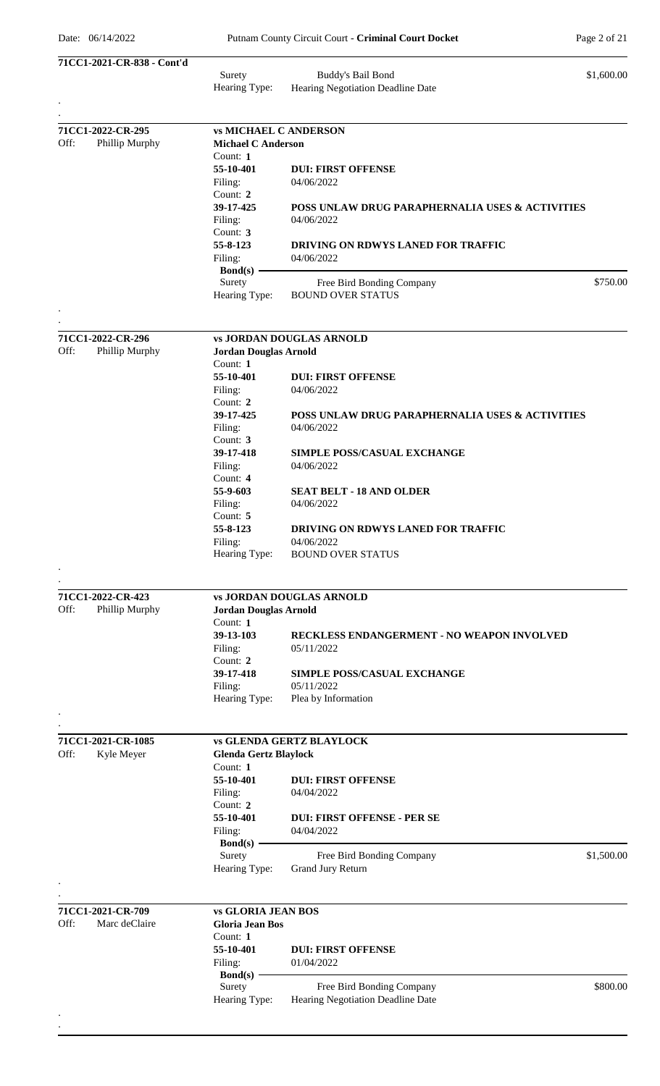| 71CC1-2021-CR-838 - Cont'd                  |                                                           |                                                   |            |
|---------------------------------------------|-----------------------------------------------------------|---------------------------------------------------|------------|
|                                             | Surety                                                    | Buddy's Bail Bond                                 | \$1,600.00 |
|                                             | Hearing Type:                                             | Hearing Negotiation Deadline Date                 |            |
|                                             |                                                           |                                                   |            |
| 71CC1-2022-CR-295<br>Off:<br>Phillip Murphy | <b>vs MICHAEL C ANDERSON</b><br><b>Michael C Anderson</b> |                                                   |            |
|                                             | Count: 1                                                  |                                                   |            |
|                                             | 55-10-401                                                 | <b>DUI: FIRST OFFENSE</b>                         |            |
|                                             | Filing:<br>Count: 2                                       | 04/06/2022                                        |            |
|                                             | 39-17-425                                                 | POSS UNLAW DRUG PARAPHERNALIA USES & ACTIVITIES   |            |
|                                             | Filing:                                                   | 04/06/2022                                        |            |
|                                             | Count: 3                                                  |                                                   |            |
|                                             | 55-8-123                                                  | <b>DRIVING ON RDWYS LANED FOR TRAFFIC</b>         |            |
|                                             | Filing:<br>$Bond(s)$ –                                    | 04/06/2022                                        |            |
|                                             | Surety                                                    | Free Bird Bonding Company                         | \$750.00   |
|                                             | Hearing Type:                                             | <b>BOUND OVER STATUS</b>                          |            |
| 71CC1-2022-CR-296                           |                                                           | <b>vs JORDAN DOUGLAS ARNOLD</b>                   |            |
| Off:<br>Phillip Murphy                      | <b>Jordan Douglas Arnold</b>                              |                                                   |            |
|                                             | Count: 1                                                  |                                                   |            |
|                                             | 55-10-401                                                 | <b>DUI: FIRST OFFENSE</b>                         |            |
|                                             | Filing:                                                   | 04/06/2022                                        |            |
|                                             | Count: 2<br>39-17-425                                     | POSS UNLAW DRUG PARAPHERNALIA USES & ACTIVITIES   |            |
|                                             | Filing:                                                   | 04/06/2022                                        |            |
|                                             | Count: 3                                                  |                                                   |            |
|                                             | 39-17-418                                                 | <b>SIMPLE POSS/CASUAL EXCHANGE</b>                |            |
|                                             | Filing:                                                   | 04/06/2022                                        |            |
|                                             | Count: 4                                                  |                                                   |            |
|                                             | 55-9-603                                                  | <b>SEAT BELT - 18 AND OLDER</b><br>04/06/2022     |            |
|                                             | Filing:<br>Count: 5                                       |                                                   |            |
|                                             | 55-8-123                                                  | DRIVING ON RDWYS LANED FOR TRAFFIC                |            |
|                                             | Filing:                                                   | 04/06/2022                                        |            |
|                                             | Hearing Type:                                             | <b>BOUND OVER STATUS</b>                          |            |
|                                             |                                                           |                                                   |            |
| 71CC1-2022-CR-423                           |                                                           | <b>vs JORDAN DOUGLAS ARNOLD</b>                   |            |
| Off:<br>Phillip Murphy                      | <b>Jordan Douglas Arnold</b><br>Count: 1                  |                                                   |            |
|                                             | 39-13-103                                                 | <b>RECKLESS ENDANGERMENT - NO WEAPON INVOLVED</b> |            |
|                                             | Filing:                                                   | 05/11/2022                                        |            |
|                                             | Count: 2                                                  |                                                   |            |
|                                             | 39-17-418                                                 | <b>SIMPLE POSS/CASUAL EXCHANGE</b>                |            |
|                                             | Filing:<br>Hearing Type:                                  | 05/11/2022<br>Plea by Information                 |            |
|                                             |                                                           |                                                   |            |
| 71CC1-2021-CR-1085                          |                                                           | <b>vs GLENDA GERTZ BLAYLOCK</b>                   |            |
| Off:<br>Kyle Meyer                          | <b>Glenda Gertz Blaylock</b>                              |                                                   |            |
|                                             | Count: 1                                                  |                                                   |            |
|                                             | 55-10-401                                                 | <b>DUI: FIRST OFFENSE</b>                         |            |
|                                             | Filing:                                                   | 04/04/2022                                        |            |
|                                             | Count: 2<br>55-10-401                                     | <b>DUI: FIRST OFFENSE - PER SE</b>                |            |
|                                             | Filing:                                                   | 04/04/2022                                        |            |
|                                             | $Bond(s)$ –                                               |                                                   |            |
|                                             | Surety                                                    | Free Bird Bonding Company                         | \$1,500.00 |
|                                             | Hearing Type:                                             | Grand Jury Return                                 |            |
|                                             |                                                           |                                                   |            |
| 71CC1-2021-CR-709                           | <b>vs GLORIA JEAN BOS</b>                                 |                                                   |            |
| Off:<br>Marc deClaire                       | <b>Gloria Jean Bos</b>                                    |                                                   |            |
|                                             | Count: 1<br>55-10-401                                     | <b>DUI: FIRST OFFENSE</b>                         |            |
|                                             | Filing:                                                   | 01/04/2022                                        |            |
|                                             | $\text{Bond}(s)$ –                                        |                                                   |            |
|                                             | Surety                                                    | Free Bird Bonding Company                         | \$800.00   |
|                                             | Hearing Type:                                             | Hearing Negotiation Deadline Date                 |            |
|                                             |                                                           |                                                   |            |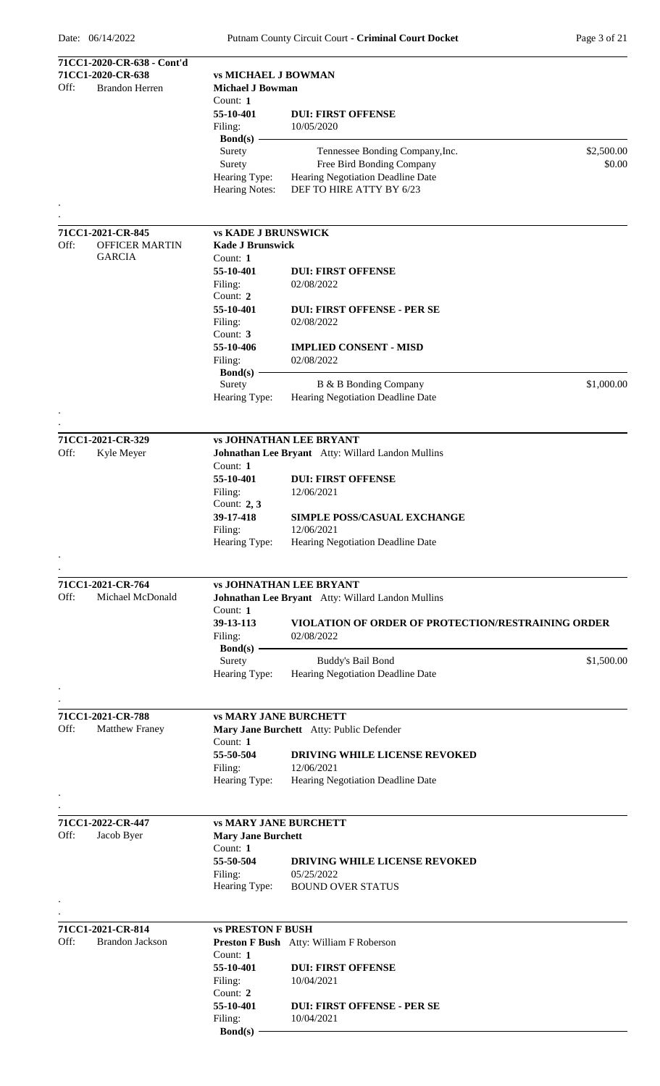| 71CC1-2020-CR-638<br><b>vs MICHAEL J BOWMAN</b><br>Off:<br><b>Brandon Herren</b><br><b>Michael J Bowman</b><br>Count: 1<br>55-10-401<br><b>DUI: FIRST OFFENSE</b><br>10/05/2020<br>Filing:<br>Bond $(s)$ -<br>\$2,500.00<br>Surety<br>Tennessee Bonding Company, Inc.<br>Free Bird Bonding Company<br>\$0.00<br>Surety<br>Hearing Negotiation Deadline Date<br>Hearing Type:<br>DEF TO HIRE ATTY BY 6/23<br><b>Hearing Notes:</b><br>71CC1-2021-CR-845<br><b>vs KADE J BRUNSWICK</b><br><b>OFFICER MARTIN</b><br><b>Kade J Brunswick</b><br>Off:<br><b>GARCIA</b><br>Count: 1<br>55-10-401<br><b>DUI: FIRST OFFENSE</b><br>Filing:<br>02/08/2022<br>Count: 2<br>55-10-401<br><b>DUI: FIRST OFFENSE - PER SE</b><br>Filing:<br>02/08/2022<br>Count: $3$<br>55-10-406<br><b>IMPLIED CONSENT - MISD</b><br>02/08/2022<br>Filing:<br>$Bond(s)$ –<br>\$1,000.00<br>Surety<br>B & B Bonding Company<br>Hearing Negotiation Deadline Date<br>Hearing Type:<br>71CC1-2021-CR-329<br><b>vs JOHNATHAN LEE BRYANT</b><br>Off:<br>Johnathan Lee Bryant Atty: Willard Landon Mullins<br>Kyle Meyer<br>Count: 1<br>55-10-401<br><b>DUI: FIRST OFFENSE</b><br>Filing:<br>12/06/2021<br>Count: $2, 3$<br>39-17-418<br><b>SIMPLE POSS/CASUAL EXCHANGE</b><br>Filing:<br>12/06/2021<br>Hearing Type:<br>Hearing Negotiation Deadline Date<br>71CC1-2021-CR-764<br><b>vs JOHNATHAN LEE BRYANT</b><br>Off:<br>Michael McDonald<br>Johnathan Lee Bryant Atty: Willard Landon Mullins<br>Count: 1<br>39-13-113<br><b>VIOLATION OF ORDER OF PROTECTION/RESTRAINING ORDER</b><br>Filing:<br>02/08/2022<br>$Bond(s)$ –<br>\$1,500.00<br>Surety<br>Buddy's Bail Bond<br>Hearing Negotiation Deadline Date<br>Hearing Type:<br>71CC1-2021-CR-788<br><b>vs MARY JANE BURCHETT</b><br>Off:<br><b>Matthew Franey</b><br>Mary Jane Burchett Atty: Public Defender<br>Count: 1<br>55-50-504<br><b>DRIVING WHILE LICENSE REVOKED</b><br>12/06/2021<br>Filing:<br>Hearing Negotiation Deadline Date<br>Hearing Type:<br>71CC1-2022-CR-447<br><b>vs MARY JANE BURCHETT</b><br>Off:<br>Jacob Byer<br><b>Mary Jane Burchett</b><br>Count: 1<br>55-50-504<br><b>DRIVING WHILE LICENSE REVOKED</b><br>Filing:<br>05/25/2022<br>Hearing Type:<br><b>BOUND OVER STATUS</b><br>71CC1-2021-CR-814<br><b>vs PRESTON F BUSH</b><br>Off:<br><b>Brandon Jackson</b><br>Preston F Bush Atty: William F Roberson<br>Count: 1<br>55-10-401<br><b>DUI: FIRST OFFENSE</b><br>10/04/2021<br>Filing:<br>Count: 2<br>55-10-401<br><b>DUI: FIRST OFFENSE - PER SE</b><br>Filing:<br>10/04/2021<br><b>Bond(s)</b> | 71CC1-2020-CR-638 - Cont'd |  |
|----------------------------------------------------------------------------------------------------------------------------------------------------------------------------------------------------------------------------------------------------------------------------------------------------------------------------------------------------------------------------------------------------------------------------------------------------------------------------------------------------------------------------------------------------------------------------------------------------------------------------------------------------------------------------------------------------------------------------------------------------------------------------------------------------------------------------------------------------------------------------------------------------------------------------------------------------------------------------------------------------------------------------------------------------------------------------------------------------------------------------------------------------------------------------------------------------------------------------------------------------------------------------------------------------------------------------------------------------------------------------------------------------------------------------------------------------------------------------------------------------------------------------------------------------------------------------------------------------------------------------------------------------------------------------------------------------------------------------------------------------------------------------------------------------------------------------------------------------------------------------------------------------------------------------------------------------------------------------------------------------------------------------------------------------------------------------------------------------------------------------------------------------------------------------------------------------------------------------------------------------------------------------------------------------------------------------------------------------------------------------------------------------------------------------------------------------------------------------------------------------------------------------------------------------------|----------------------------|--|
|                                                                                                                                                                                                                                                                                                                                                                                                                                                                                                                                                                                                                                                                                                                                                                                                                                                                                                                                                                                                                                                                                                                                                                                                                                                                                                                                                                                                                                                                                                                                                                                                                                                                                                                                                                                                                                                                                                                                                                                                                                                                                                                                                                                                                                                                                                                                                                                                                                                                                                                                                          |                            |  |
|                                                                                                                                                                                                                                                                                                                                                                                                                                                                                                                                                                                                                                                                                                                                                                                                                                                                                                                                                                                                                                                                                                                                                                                                                                                                                                                                                                                                                                                                                                                                                                                                                                                                                                                                                                                                                                                                                                                                                                                                                                                                                                                                                                                                                                                                                                                                                                                                                                                                                                                                                          |                            |  |
|                                                                                                                                                                                                                                                                                                                                                                                                                                                                                                                                                                                                                                                                                                                                                                                                                                                                                                                                                                                                                                                                                                                                                                                                                                                                                                                                                                                                                                                                                                                                                                                                                                                                                                                                                                                                                                                                                                                                                                                                                                                                                                                                                                                                                                                                                                                                                                                                                                                                                                                                                          |                            |  |
|                                                                                                                                                                                                                                                                                                                                                                                                                                                                                                                                                                                                                                                                                                                                                                                                                                                                                                                                                                                                                                                                                                                                                                                                                                                                                                                                                                                                                                                                                                                                                                                                                                                                                                                                                                                                                                                                                                                                                                                                                                                                                                                                                                                                                                                                                                                                                                                                                                                                                                                                                          |                            |  |
|                                                                                                                                                                                                                                                                                                                                                                                                                                                                                                                                                                                                                                                                                                                                                                                                                                                                                                                                                                                                                                                                                                                                                                                                                                                                                                                                                                                                                                                                                                                                                                                                                                                                                                                                                                                                                                                                                                                                                                                                                                                                                                                                                                                                                                                                                                                                                                                                                                                                                                                                                          |                            |  |
|                                                                                                                                                                                                                                                                                                                                                                                                                                                                                                                                                                                                                                                                                                                                                                                                                                                                                                                                                                                                                                                                                                                                                                                                                                                                                                                                                                                                                                                                                                                                                                                                                                                                                                                                                                                                                                                                                                                                                                                                                                                                                                                                                                                                                                                                                                                                                                                                                                                                                                                                                          |                            |  |
|                                                                                                                                                                                                                                                                                                                                                                                                                                                                                                                                                                                                                                                                                                                                                                                                                                                                                                                                                                                                                                                                                                                                                                                                                                                                                                                                                                                                                                                                                                                                                                                                                                                                                                                                                                                                                                                                                                                                                                                                                                                                                                                                                                                                                                                                                                                                                                                                                                                                                                                                                          |                            |  |
|                                                                                                                                                                                                                                                                                                                                                                                                                                                                                                                                                                                                                                                                                                                                                                                                                                                                                                                                                                                                                                                                                                                                                                                                                                                                                                                                                                                                                                                                                                                                                                                                                                                                                                                                                                                                                                                                                                                                                                                                                                                                                                                                                                                                                                                                                                                                                                                                                                                                                                                                                          |                            |  |
|                                                                                                                                                                                                                                                                                                                                                                                                                                                                                                                                                                                                                                                                                                                                                                                                                                                                                                                                                                                                                                                                                                                                                                                                                                                                                                                                                                                                                                                                                                                                                                                                                                                                                                                                                                                                                                                                                                                                                                                                                                                                                                                                                                                                                                                                                                                                                                                                                                                                                                                                                          |                            |  |
|                                                                                                                                                                                                                                                                                                                                                                                                                                                                                                                                                                                                                                                                                                                                                                                                                                                                                                                                                                                                                                                                                                                                                                                                                                                                                                                                                                                                                                                                                                                                                                                                                                                                                                                                                                                                                                                                                                                                                                                                                                                                                                                                                                                                                                                                                                                                                                                                                                                                                                                                                          |                            |  |
|                                                                                                                                                                                                                                                                                                                                                                                                                                                                                                                                                                                                                                                                                                                                                                                                                                                                                                                                                                                                                                                                                                                                                                                                                                                                                                                                                                                                                                                                                                                                                                                                                                                                                                                                                                                                                                                                                                                                                                                                                                                                                                                                                                                                                                                                                                                                                                                                                                                                                                                                                          |                            |  |
|                                                                                                                                                                                                                                                                                                                                                                                                                                                                                                                                                                                                                                                                                                                                                                                                                                                                                                                                                                                                                                                                                                                                                                                                                                                                                                                                                                                                                                                                                                                                                                                                                                                                                                                                                                                                                                                                                                                                                                                                                                                                                                                                                                                                                                                                                                                                                                                                                                                                                                                                                          |                            |  |
|                                                                                                                                                                                                                                                                                                                                                                                                                                                                                                                                                                                                                                                                                                                                                                                                                                                                                                                                                                                                                                                                                                                                                                                                                                                                                                                                                                                                                                                                                                                                                                                                                                                                                                                                                                                                                                                                                                                                                                                                                                                                                                                                                                                                                                                                                                                                                                                                                                                                                                                                                          |                            |  |
|                                                                                                                                                                                                                                                                                                                                                                                                                                                                                                                                                                                                                                                                                                                                                                                                                                                                                                                                                                                                                                                                                                                                                                                                                                                                                                                                                                                                                                                                                                                                                                                                                                                                                                                                                                                                                                                                                                                                                                                                                                                                                                                                                                                                                                                                                                                                                                                                                                                                                                                                                          |                            |  |
|                                                                                                                                                                                                                                                                                                                                                                                                                                                                                                                                                                                                                                                                                                                                                                                                                                                                                                                                                                                                                                                                                                                                                                                                                                                                                                                                                                                                                                                                                                                                                                                                                                                                                                                                                                                                                                                                                                                                                                                                                                                                                                                                                                                                                                                                                                                                                                                                                                                                                                                                                          |                            |  |
|                                                                                                                                                                                                                                                                                                                                                                                                                                                                                                                                                                                                                                                                                                                                                                                                                                                                                                                                                                                                                                                                                                                                                                                                                                                                                                                                                                                                                                                                                                                                                                                                                                                                                                                                                                                                                                                                                                                                                                                                                                                                                                                                                                                                                                                                                                                                                                                                                                                                                                                                                          |                            |  |
|                                                                                                                                                                                                                                                                                                                                                                                                                                                                                                                                                                                                                                                                                                                                                                                                                                                                                                                                                                                                                                                                                                                                                                                                                                                                                                                                                                                                                                                                                                                                                                                                                                                                                                                                                                                                                                                                                                                                                                                                                                                                                                                                                                                                                                                                                                                                                                                                                                                                                                                                                          |                            |  |
|                                                                                                                                                                                                                                                                                                                                                                                                                                                                                                                                                                                                                                                                                                                                                                                                                                                                                                                                                                                                                                                                                                                                                                                                                                                                                                                                                                                                                                                                                                                                                                                                                                                                                                                                                                                                                                                                                                                                                                                                                                                                                                                                                                                                                                                                                                                                                                                                                                                                                                                                                          |                            |  |
|                                                                                                                                                                                                                                                                                                                                                                                                                                                                                                                                                                                                                                                                                                                                                                                                                                                                                                                                                                                                                                                                                                                                                                                                                                                                                                                                                                                                                                                                                                                                                                                                                                                                                                                                                                                                                                                                                                                                                                                                                                                                                                                                                                                                                                                                                                                                                                                                                                                                                                                                                          |                            |  |
|                                                                                                                                                                                                                                                                                                                                                                                                                                                                                                                                                                                                                                                                                                                                                                                                                                                                                                                                                                                                                                                                                                                                                                                                                                                                                                                                                                                                                                                                                                                                                                                                                                                                                                                                                                                                                                                                                                                                                                                                                                                                                                                                                                                                                                                                                                                                                                                                                                                                                                                                                          |                            |  |
|                                                                                                                                                                                                                                                                                                                                                                                                                                                                                                                                                                                                                                                                                                                                                                                                                                                                                                                                                                                                                                                                                                                                                                                                                                                                                                                                                                                                                                                                                                                                                                                                                                                                                                                                                                                                                                                                                                                                                                                                                                                                                                                                                                                                                                                                                                                                                                                                                                                                                                                                                          |                            |  |
|                                                                                                                                                                                                                                                                                                                                                                                                                                                                                                                                                                                                                                                                                                                                                                                                                                                                                                                                                                                                                                                                                                                                                                                                                                                                                                                                                                                                                                                                                                                                                                                                                                                                                                                                                                                                                                                                                                                                                                                                                                                                                                                                                                                                                                                                                                                                                                                                                                                                                                                                                          |                            |  |
|                                                                                                                                                                                                                                                                                                                                                                                                                                                                                                                                                                                                                                                                                                                                                                                                                                                                                                                                                                                                                                                                                                                                                                                                                                                                                                                                                                                                                                                                                                                                                                                                                                                                                                                                                                                                                                                                                                                                                                                                                                                                                                                                                                                                                                                                                                                                                                                                                                                                                                                                                          |                            |  |
|                                                                                                                                                                                                                                                                                                                                                                                                                                                                                                                                                                                                                                                                                                                                                                                                                                                                                                                                                                                                                                                                                                                                                                                                                                                                                                                                                                                                                                                                                                                                                                                                                                                                                                                                                                                                                                                                                                                                                                                                                                                                                                                                                                                                                                                                                                                                                                                                                                                                                                                                                          |                            |  |
|                                                                                                                                                                                                                                                                                                                                                                                                                                                                                                                                                                                                                                                                                                                                                                                                                                                                                                                                                                                                                                                                                                                                                                                                                                                                                                                                                                                                                                                                                                                                                                                                                                                                                                                                                                                                                                                                                                                                                                                                                                                                                                                                                                                                                                                                                                                                                                                                                                                                                                                                                          |                            |  |
|                                                                                                                                                                                                                                                                                                                                                                                                                                                                                                                                                                                                                                                                                                                                                                                                                                                                                                                                                                                                                                                                                                                                                                                                                                                                                                                                                                                                                                                                                                                                                                                                                                                                                                                                                                                                                                                                                                                                                                                                                                                                                                                                                                                                                                                                                                                                                                                                                                                                                                                                                          |                            |  |
|                                                                                                                                                                                                                                                                                                                                                                                                                                                                                                                                                                                                                                                                                                                                                                                                                                                                                                                                                                                                                                                                                                                                                                                                                                                                                                                                                                                                                                                                                                                                                                                                                                                                                                                                                                                                                                                                                                                                                                                                                                                                                                                                                                                                                                                                                                                                                                                                                                                                                                                                                          |                            |  |
|                                                                                                                                                                                                                                                                                                                                                                                                                                                                                                                                                                                                                                                                                                                                                                                                                                                                                                                                                                                                                                                                                                                                                                                                                                                                                                                                                                                                                                                                                                                                                                                                                                                                                                                                                                                                                                                                                                                                                                                                                                                                                                                                                                                                                                                                                                                                                                                                                                                                                                                                                          |                            |  |
|                                                                                                                                                                                                                                                                                                                                                                                                                                                                                                                                                                                                                                                                                                                                                                                                                                                                                                                                                                                                                                                                                                                                                                                                                                                                                                                                                                                                                                                                                                                                                                                                                                                                                                                                                                                                                                                                                                                                                                                                                                                                                                                                                                                                                                                                                                                                                                                                                                                                                                                                                          |                            |  |
|                                                                                                                                                                                                                                                                                                                                                                                                                                                                                                                                                                                                                                                                                                                                                                                                                                                                                                                                                                                                                                                                                                                                                                                                                                                                                                                                                                                                                                                                                                                                                                                                                                                                                                                                                                                                                                                                                                                                                                                                                                                                                                                                                                                                                                                                                                                                                                                                                                                                                                                                                          |                            |  |
|                                                                                                                                                                                                                                                                                                                                                                                                                                                                                                                                                                                                                                                                                                                                                                                                                                                                                                                                                                                                                                                                                                                                                                                                                                                                                                                                                                                                                                                                                                                                                                                                                                                                                                                                                                                                                                                                                                                                                                                                                                                                                                                                                                                                                                                                                                                                                                                                                                                                                                                                                          |                            |  |
|                                                                                                                                                                                                                                                                                                                                                                                                                                                                                                                                                                                                                                                                                                                                                                                                                                                                                                                                                                                                                                                                                                                                                                                                                                                                                                                                                                                                                                                                                                                                                                                                                                                                                                                                                                                                                                                                                                                                                                                                                                                                                                                                                                                                                                                                                                                                                                                                                                                                                                                                                          |                            |  |
|                                                                                                                                                                                                                                                                                                                                                                                                                                                                                                                                                                                                                                                                                                                                                                                                                                                                                                                                                                                                                                                                                                                                                                                                                                                                                                                                                                                                                                                                                                                                                                                                                                                                                                                                                                                                                                                                                                                                                                                                                                                                                                                                                                                                                                                                                                                                                                                                                                                                                                                                                          |                            |  |
|                                                                                                                                                                                                                                                                                                                                                                                                                                                                                                                                                                                                                                                                                                                                                                                                                                                                                                                                                                                                                                                                                                                                                                                                                                                                                                                                                                                                                                                                                                                                                                                                                                                                                                                                                                                                                                                                                                                                                                                                                                                                                                                                                                                                                                                                                                                                                                                                                                                                                                                                                          |                            |  |
|                                                                                                                                                                                                                                                                                                                                                                                                                                                                                                                                                                                                                                                                                                                                                                                                                                                                                                                                                                                                                                                                                                                                                                                                                                                                                                                                                                                                                                                                                                                                                                                                                                                                                                                                                                                                                                                                                                                                                                                                                                                                                                                                                                                                                                                                                                                                                                                                                                                                                                                                                          |                            |  |
|                                                                                                                                                                                                                                                                                                                                                                                                                                                                                                                                                                                                                                                                                                                                                                                                                                                                                                                                                                                                                                                                                                                                                                                                                                                                                                                                                                                                                                                                                                                                                                                                                                                                                                                                                                                                                                                                                                                                                                                                                                                                                                                                                                                                                                                                                                                                                                                                                                                                                                                                                          |                            |  |
|                                                                                                                                                                                                                                                                                                                                                                                                                                                                                                                                                                                                                                                                                                                                                                                                                                                                                                                                                                                                                                                                                                                                                                                                                                                                                                                                                                                                                                                                                                                                                                                                                                                                                                                                                                                                                                                                                                                                                                                                                                                                                                                                                                                                                                                                                                                                                                                                                                                                                                                                                          |                            |  |
|                                                                                                                                                                                                                                                                                                                                                                                                                                                                                                                                                                                                                                                                                                                                                                                                                                                                                                                                                                                                                                                                                                                                                                                                                                                                                                                                                                                                                                                                                                                                                                                                                                                                                                                                                                                                                                                                                                                                                                                                                                                                                                                                                                                                                                                                                                                                                                                                                                                                                                                                                          |                            |  |
|                                                                                                                                                                                                                                                                                                                                                                                                                                                                                                                                                                                                                                                                                                                                                                                                                                                                                                                                                                                                                                                                                                                                                                                                                                                                                                                                                                                                                                                                                                                                                                                                                                                                                                                                                                                                                                                                                                                                                                                                                                                                                                                                                                                                                                                                                                                                                                                                                                                                                                                                                          |                            |  |
|                                                                                                                                                                                                                                                                                                                                                                                                                                                                                                                                                                                                                                                                                                                                                                                                                                                                                                                                                                                                                                                                                                                                                                                                                                                                                                                                                                                                                                                                                                                                                                                                                                                                                                                                                                                                                                                                                                                                                                                                                                                                                                                                                                                                                                                                                                                                                                                                                                                                                                                                                          |                            |  |
|                                                                                                                                                                                                                                                                                                                                                                                                                                                                                                                                                                                                                                                                                                                                                                                                                                                                                                                                                                                                                                                                                                                                                                                                                                                                                                                                                                                                                                                                                                                                                                                                                                                                                                                                                                                                                                                                                                                                                                                                                                                                                                                                                                                                                                                                                                                                                                                                                                                                                                                                                          |                            |  |
|                                                                                                                                                                                                                                                                                                                                                                                                                                                                                                                                                                                                                                                                                                                                                                                                                                                                                                                                                                                                                                                                                                                                                                                                                                                                                                                                                                                                                                                                                                                                                                                                                                                                                                                                                                                                                                                                                                                                                                                                                                                                                                                                                                                                                                                                                                                                                                                                                                                                                                                                                          |                            |  |
|                                                                                                                                                                                                                                                                                                                                                                                                                                                                                                                                                                                                                                                                                                                                                                                                                                                                                                                                                                                                                                                                                                                                                                                                                                                                                                                                                                                                                                                                                                                                                                                                                                                                                                                                                                                                                                                                                                                                                                                                                                                                                                                                                                                                                                                                                                                                                                                                                                                                                                                                                          |                            |  |
|                                                                                                                                                                                                                                                                                                                                                                                                                                                                                                                                                                                                                                                                                                                                                                                                                                                                                                                                                                                                                                                                                                                                                                                                                                                                                                                                                                                                                                                                                                                                                                                                                                                                                                                                                                                                                                                                                                                                                                                                                                                                                                                                                                                                                                                                                                                                                                                                                                                                                                                                                          |                            |  |
|                                                                                                                                                                                                                                                                                                                                                                                                                                                                                                                                                                                                                                                                                                                                                                                                                                                                                                                                                                                                                                                                                                                                                                                                                                                                                                                                                                                                                                                                                                                                                                                                                                                                                                                                                                                                                                                                                                                                                                                                                                                                                                                                                                                                                                                                                                                                                                                                                                                                                                                                                          |                            |  |
|                                                                                                                                                                                                                                                                                                                                                                                                                                                                                                                                                                                                                                                                                                                                                                                                                                                                                                                                                                                                                                                                                                                                                                                                                                                                                                                                                                                                                                                                                                                                                                                                                                                                                                                                                                                                                                                                                                                                                                                                                                                                                                                                                                                                                                                                                                                                                                                                                                                                                                                                                          |                            |  |
|                                                                                                                                                                                                                                                                                                                                                                                                                                                                                                                                                                                                                                                                                                                                                                                                                                                                                                                                                                                                                                                                                                                                                                                                                                                                                                                                                                                                                                                                                                                                                                                                                                                                                                                                                                                                                                                                                                                                                                                                                                                                                                                                                                                                                                                                                                                                                                                                                                                                                                                                                          |                            |  |
|                                                                                                                                                                                                                                                                                                                                                                                                                                                                                                                                                                                                                                                                                                                                                                                                                                                                                                                                                                                                                                                                                                                                                                                                                                                                                                                                                                                                                                                                                                                                                                                                                                                                                                                                                                                                                                                                                                                                                                                                                                                                                                                                                                                                                                                                                                                                                                                                                                                                                                                                                          |                            |  |
|                                                                                                                                                                                                                                                                                                                                                                                                                                                                                                                                                                                                                                                                                                                                                                                                                                                                                                                                                                                                                                                                                                                                                                                                                                                                                                                                                                                                                                                                                                                                                                                                                                                                                                                                                                                                                                                                                                                                                                                                                                                                                                                                                                                                                                                                                                                                                                                                                                                                                                                                                          |                            |  |
|                                                                                                                                                                                                                                                                                                                                                                                                                                                                                                                                                                                                                                                                                                                                                                                                                                                                                                                                                                                                                                                                                                                                                                                                                                                                                                                                                                                                                                                                                                                                                                                                                                                                                                                                                                                                                                                                                                                                                                                                                                                                                                                                                                                                                                                                                                                                                                                                                                                                                                                                                          |                            |  |
|                                                                                                                                                                                                                                                                                                                                                                                                                                                                                                                                                                                                                                                                                                                                                                                                                                                                                                                                                                                                                                                                                                                                                                                                                                                                                                                                                                                                                                                                                                                                                                                                                                                                                                                                                                                                                                                                                                                                                                                                                                                                                                                                                                                                                                                                                                                                                                                                                                                                                                                                                          |                            |  |
|                                                                                                                                                                                                                                                                                                                                                                                                                                                                                                                                                                                                                                                                                                                                                                                                                                                                                                                                                                                                                                                                                                                                                                                                                                                                                                                                                                                                                                                                                                                                                                                                                                                                                                                                                                                                                                                                                                                                                                                                                                                                                                                                                                                                                                                                                                                                                                                                                                                                                                                                                          |                            |  |
|                                                                                                                                                                                                                                                                                                                                                                                                                                                                                                                                                                                                                                                                                                                                                                                                                                                                                                                                                                                                                                                                                                                                                                                                                                                                                                                                                                                                                                                                                                                                                                                                                                                                                                                                                                                                                                                                                                                                                                                                                                                                                                                                                                                                                                                                                                                                                                                                                                                                                                                                                          |                            |  |
|                                                                                                                                                                                                                                                                                                                                                                                                                                                                                                                                                                                                                                                                                                                                                                                                                                                                                                                                                                                                                                                                                                                                                                                                                                                                                                                                                                                                                                                                                                                                                                                                                                                                                                                                                                                                                                                                                                                                                                                                                                                                                                                                                                                                                                                                                                                                                                                                                                                                                                                                                          |                            |  |
|                                                                                                                                                                                                                                                                                                                                                                                                                                                                                                                                                                                                                                                                                                                                                                                                                                                                                                                                                                                                                                                                                                                                                                                                                                                                                                                                                                                                                                                                                                                                                                                                                                                                                                                                                                                                                                                                                                                                                                                                                                                                                                                                                                                                                                                                                                                                                                                                                                                                                                                                                          |                            |  |
|                                                                                                                                                                                                                                                                                                                                                                                                                                                                                                                                                                                                                                                                                                                                                                                                                                                                                                                                                                                                                                                                                                                                                                                                                                                                                                                                                                                                                                                                                                                                                                                                                                                                                                                                                                                                                                                                                                                                                                                                                                                                                                                                                                                                                                                                                                                                                                                                                                                                                                                                                          |                            |  |
|                                                                                                                                                                                                                                                                                                                                                                                                                                                                                                                                                                                                                                                                                                                                                                                                                                                                                                                                                                                                                                                                                                                                                                                                                                                                                                                                                                                                                                                                                                                                                                                                                                                                                                                                                                                                                                                                                                                                                                                                                                                                                                                                                                                                                                                                                                                                                                                                                                                                                                                                                          |                            |  |
|                                                                                                                                                                                                                                                                                                                                                                                                                                                                                                                                                                                                                                                                                                                                                                                                                                                                                                                                                                                                                                                                                                                                                                                                                                                                                                                                                                                                                                                                                                                                                                                                                                                                                                                                                                                                                                                                                                                                                                                                                                                                                                                                                                                                                                                                                                                                                                                                                                                                                                                                                          |                            |  |
|                                                                                                                                                                                                                                                                                                                                                                                                                                                                                                                                                                                                                                                                                                                                                                                                                                                                                                                                                                                                                                                                                                                                                                                                                                                                                                                                                                                                                                                                                                                                                                                                                                                                                                                                                                                                                                                                                                                                                                                                                                                                                                                                                                                                                                                                                                                                                                                                                                                                                                                                                          |                            |  |
|                                                                                                                                                                                                                                                                                                                                                                                                                                                                                                                                                                                                                                                                                                                                                                                                                                                                                                                                                                                                                                                                                                                                                                                                                                                                                                                                                                                                                                                                                                                                                                                                                                                                                                                                                                                                                                                                                                                                                                                                                                                                                                                                                                                                                                                                                                                                                                                                                                                                                                                                                          |                            |  |
|                                                                                                                                                                                                                                                                                                                                                                                                                                                                                                                                                                                                                                                                                                                                                                                                                                                                                                                                                                                                                                                                                                                                                                                                                                                                                                                                                                                                                                                                                                                                                                                                                                                                                                                                                                                                                                                                                                                                                                                                                                                                                                                                                                                                                                                                                                                                                                                                                                                                                                                                                          |                            |  |
|                                                                                                                                                                                                                                                                                                                                                                                                                                                                                                                                                                                                                                                                                                                                                                                                                                                                                                                                                                                                                                                                                                                                                                                                                                                                                                                                                                                                                                                                                                                                                                                                                                                                                                                                                                                                                                                                                                                                                                                                                                                                                                                                                                                                                                                                                                                                                                                                                                                                                                                                                          |                            |  |
|                                                                                                                                                                                                                                                                                                                                                                                                                                                                                                                                                                                                                                                                                                                                                                                                                                                                                                                                                                                                                                                                                                                                                                                                                                                                                                                                                                                                                                                                                                                                                                                                                                                                                                                                                                                                                                                                                                                                                                                                                                                                                                                                                                                                                                                                                                                                                                                                                                                                                                                                                          |                            |  |
|                                                                                                                                                                                                                                                                                                                                                                                                                                                                                                                                                                                                                                                                                                                                                                                                                                                                                                                                                                                                                                                                                                                                                                                                                                                                                                                                                                                                                                                                                                                                                                                                                                                                                                                                                                                                                                                                                                                                                                                                                                                                                                                                                                                                                                                                                                                                                                                                                                                                                                                                                          |                            |  |
|                                                                                                                                                                                                                                                                                                                                                                                                                                                                                                                                                                                                                                                                                                                                                                                                                                                                                                                                                                                                                                                                                                                                                                                                                                                                                                                                                                                                                                                                                                                                                                                                                                                                                                                                                                                                                                                                                                                                                                                                                                                                                                                                                                                                                                                                                                                                                                                                                                                                                                                                                          |                            |  |
|                                                                                                                                                                                                                                                                                                                                                                                                                                                                                                                                                                                                                                                                                                                                                                                                                                                                                                                                                                                                                                                                                                                                                                                                                                                                                                                                                                                                                                                                                                                                                                                                                                                                                                                                                                                                                                                                                                                                                                                                                                                                                                                                                                                                                                                                                                                                                                                                                                                                                                                                                          |                            |  |
|                                                                                                                                                                                                                                                                                                                                                                                                                                                                                                                                                                                                                                                                                                                                                                                                                                                                                                                                                                                                                                                                                                                                                                                                                                                                                                                                                                                                                                                                                                                                                                                                                                                                                                                                                                                                                                                                                                                                                                                                                                                                                                                                                                                                                                                                                                                                                                                                                                                                                                                                                          |                            |  |
|                                                                                                                                                                                                                                                                                                                                                                                                                                                                                                                                                                                                                                                                                                                                                                                                                                                                                                                                                                                                                                                                                                                                                                                                                                                                                                                                                                                                                                                                                                                                                                                                                                                                                                                                                                                                                                                                                                                                                                                                                                                                                                                                                                                                                                                                                                                                                                                                                                                                                                                                                          |                            |  |
|                                                                                                                                                                                                                                                                                                                                                                                                                                                                                                                                                                                                                                                                                                                                                                                                                                                                                                                                                                                                                                                                                                                                                                                                                                                                                                                                                                                                                                                                                                                                                                                                                                                                                                                                                                                                                                                                                                                                                                                                                                                                                                                                                                                                                                                                                                                                                                                                                                                                                                                                                          |                            |  |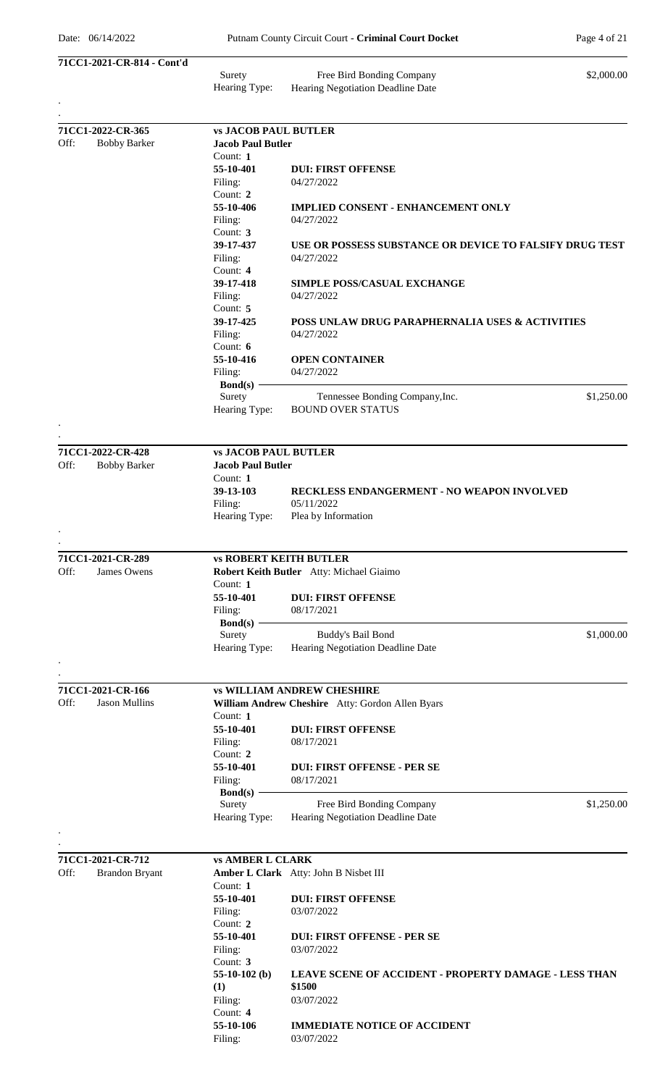| 71CC1-2021-CR-814 - Cont'd                        |                                                         |                                                                 |            |
|---------------------------------------------------|---------------------------------------------------------|-----------------------------------------------------------------|------------|
|                                                   | Surety<br>Hearing Type:                                 | Free Bird Bonding Company<br>Hearing Negotiation Deadline Date  | \$2,000.00 |
|                                                   |                                                         |                                                                 |            |
| 71CC1-2022-CR-365<br>Off:<br><b>Bobby Barker</b>  | <b>vs JACOB PAUL BUTLER</b><br><b>Jacob Paul Butler</b> |                                                                 |            |
|                                                   | Count: $1$                                              |                                                                 |            |
|                                                   | 55-10-401                                               | <b>DUI: FIRST OFFENSE</b>                                       |            |
|                                                   | Filing:                                                 | 04/27/2022                                                      |            |
|                                                   | Count: 2                                                |                                                                 |            |
|                                                   | 55-10-406                                               | <b>IMPLIED CONSENT - ENHANCEMENT ONLY</b><br>04/27/2022         |            |
|                                                   | Filing:<br>Count: 3                                     |                                                                 |            |
|                                                   | 39-17-437                                               | USE OR POSSESS SUBSTANCE OR DEVICE TO FALSIFY DRUG TEST         |            |
|                                                   | Filing:                                                 | 04/27/2022                                                      |            |
|                                                   | Count: 4                                                |                                                                 |            |
|                                                   | 39-17-418                                               | <b>SIMPLE POSS/CASUAL EXCHANGE</b>                              |            |
|                                                   | Filing:<br>Count: 5                                     | 04/27/2022                                                      |            |
|                                                   | 39-17-425                                               | POSS UNLAW DRUG PARAPHERNALIA USES & ACTIVITIES                 |            |
|                                                   | Filing:                                                 | 04/27/2022                                                      |            |
|                                                   | Count: 6                                                |                                                                 |            |
|                                                   | 55-10-416                                               | <b>OPEN CONTAINER</b>                                           |            |
|                                                   | Filing:<br>$Bond(s)$ –                                  | 04/27/2022                                                      |            |
|                                                   | Surety                                                  | Tennessee Bonding Company, Inc.                                 | \$1,250.00 |
|                                                   | Hearing Type:                                           | <b>BOUND OVER STATUS</b>                                        |            |
|                                                   |                                                         |                                                                 |            |
|                                                   |                                                         |                                                                 |            |
| 71CC1-2022-CR-428                                 | <b>vs JACOB PAUL BUTLER</b>                             |                                                                 |            |
| Off:<br><b>Bobby Barker</b>                       | <b>Jacob Paul Butler</b>                                |                                                                 |            |
|                                                   | Count: 1                                                |                                                                 |            |
|                                                   | 39-13-103<br>Filing:                                    | <b>RECKLESS ENDANGERMENT - NO WEAPON INVOLVED</b><br>05/11/2022 |            |
|                                                   | Hearing Type:                                           | Plea by Information                                             |            |
|                                                   |                                                         |                                                                 |            |
|                                                   |                                                         |                                                                 |            |
| 71CC1-2021-CR-289                                 | <b>vs ROBERT KEITH BUTLER</b>                           |                                                                 |            |
| Off:<br>James Owens                               |                                                         | Robert Keith Butler Atty: Michael Giaimo                        |            |
|                                                   | Count: 1                                                |                                                                 |            |
|                                                   | 55-10-401<br>Filing:                                    | <b>DUI: FIRST OFFENSE</b><br>08/17/2021                         |            |
|                                                   | $Bond(s)$ –                                             |                                                                 |            |
|                                                   | Surety                                                  | Buddy's Bail Bond                                               | \$1,000.00 |
|                                                   | Hearing Type:                                           | Hearing Negotiation Deadline Date                               |            |
|                                                   |                                                         |                                                                 |            |
|                                                   |                                                         |                                                                 |            |
| 71CC1-2021-CR-166<br>Off:<br><b>Jason Mullins</b> |                                                         | <b>vs WILLIAM ANDREW CHESHIRE</b>                               |            |
|                                                   | Count: 1                                                | William Andrew Cheshire Atty: Gordon Allen Byars                |            |
|                                                   | 55-10-401                                               | <b>DUI: FIRST OFFENSE</b>                                       |            |
|                                                   | Filing:                                                 | 08/17/2021                                                      |            |
|                                                   | Count: 2                                                |                                                                 |            |
|                                                   | 55-10-401                                               | <b>DUI: FIRST OFFENSE - PER SE</b>                              |            |
|                                                   | Filing:<br>$Bond(s)$ –                                  | 08/17/2021                                                      |            |
|                                                   | Surety                                                  | Free Bird Bonding Company                                       | \$1,250.00 |
|                                                   | Hearing Type:                                           | Hearing Negotiation Deadline Date                               |            |
|                                                   |                                                         |                                                                 |            |
|                                                   |                                                         |                                                                 |            |
| 71CC1-2021-CR-712                                 | <b>vs AMBER L CLARK</b>                                 |                                                                 |            |
| Off:<br><b>Brandon Bryant</b>                     |                                                         | Amber L Clark Atty: John B Nisbet III                           |            |
|                                                   | Count: 1<br>55-10-401                                   | <b>DUI: FIRST OFFENSE</b>                                       |            |
|                                                   | Filing:                                                 | 03/07/2022                                                      |            |
|                                                   | Count: 2                                                |                                                                 |            |
|                                                   | 55-10-401                                               | <b>DUI: FIRST OFFENSE - PER SE</b>                              |            |
|                                                   | Filing:                                                 | 03/07/2022                                                      |            |
|                                                   | Count: 3<br>55-10-102 $(b)$                             | <b>LEAVE SCENE OF ACCIDENT - PROPERTY DAMAGE - LESS THAN</b>    |            |
|                                                   | (1)                                                     | \$1500                                                          |            |
|                                                   | Filing:                                                 | 03/07/2022                                                      |            |
|                                                   | Count: 4                                                |                                                                 |            |
|                                                   | 55-10-106                                               | <b>IMMEDIATE NOTICE OF ACCIDENT</b>                             |            |
|                                                   | Filing:                                                 | 03/07/2022                                                      |            |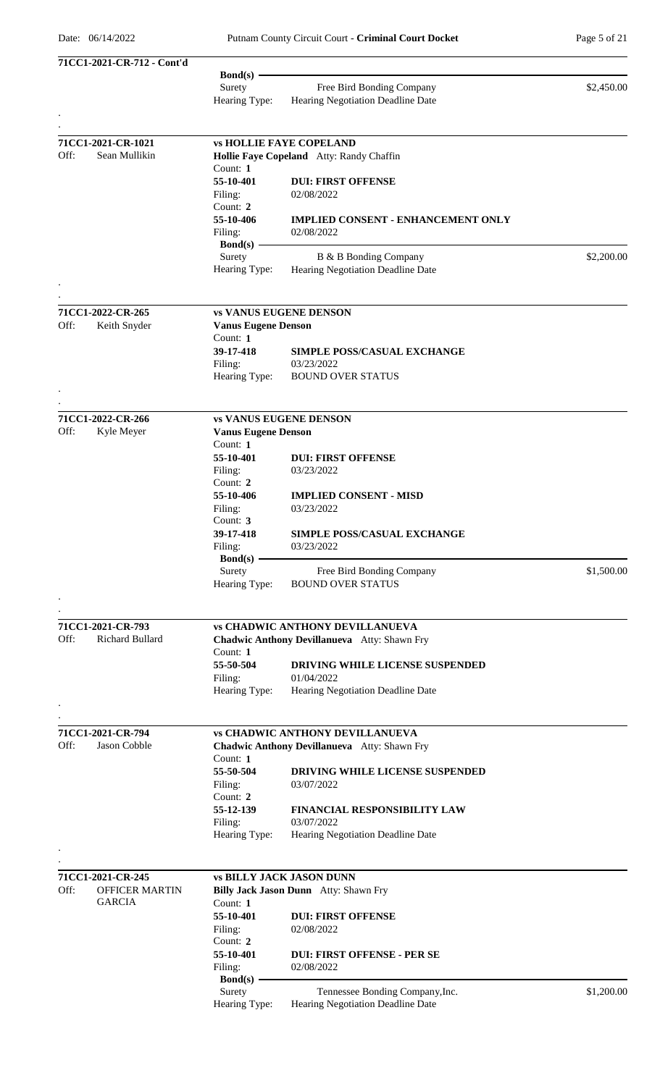|      | 71CC1-2021-CR-712 - Cont'd           |                            |                                              |            |
|------|--------------------------------------|----------------------------|----------------------------------------------|------------|
|      |                                      | $Bond(s)$ –                |                                              |            |
|      |                                      | Surety                     | Free Bird Bonding Company                    | \$2,450.00 |
|      |                                      | Hearing Type:              | Hearing Negotiation Deadline Date            |            |
|      |                                      |                            |                                              |            |
|      | 71CC1-2021-CR-1021                   |                            | <b>vs HOLLIE FAYE COPELAND</b>               |            |
| Off: | Sean Mullikin                        |                            | Hollie Faye Copeland Atty: Randy Chaffin     |            |
|      |                                      | Count: $1$                 |                                              |            |
|      |                                      | 55-10-401                  | <b>DUI: FIRST OFFENSE</b>                    |            |
|      |                                      | Filing:                    | 02/08/2022                                   |            |
|      |                                      | Count: 2<br>55-10-406      | <b>IMPLIED CONSENT - ENHANCEMENT ONLY</b>    |            |
|      |                                      | Filing:                    | 02/08/2022                                   |            |
|      |                                      | $Bond(s)$ –                |                                              |            |
|      |                                      | Surety                     | B & B Bonding Company                        | \$2,200.00 |
|      |                                      | Hearing Type:              | Hearing Negotiation Deadline Date            |            |
|      |                                      |                            |                                              |            |
|      |                                      |                            |                                              |            |
| Off: | 71CC1-2022-CR-265<br>Keith Snyder    | <b>Vanus Eugene Denson</b> | <b>vs VANUS EUGENE DENSON</b>                |            |
|      |                                      | Count: 1                   |                                              |            |
|      |                                      | 39-17-418                  | SIMPLE POSS/CASUAL EXCHANGE                  |            |
|      |                                      | Filing:                    | 03/23/2022                                   |            |
|      |                                      | Hearing Type:              | <b>BOUND OVER STATUS</b>                     |            |
|      |                                      |                            |                                              |            |
|      |                                      |                            |                                              |            |
| Off: | 71CC1-2022-CR-266<br>Kyle Meyer      | <b>Vanus Eugene Denson</b> | <b>vs VANUS EUGENE DENSON</b>                |            |
|      |                                      | Count: 1                   |                                              |            |
|      |                                      | 55-10-401                  | <b>DUI: FIRST OFFENSE</b>                    |            |
|      |                                      | Filing:                    | 03/23/2022                                   |            |
|      |                                      | Count: 2                   |                                              |            |
|      |                                      | 55-10-406                  | <b>IMPLIED CONSENT - MISD</b>                |            |
|      |                                      | Filing:                    | 03/23/2022                                   |            |
|      |                                      | Count: $3$                 |                                              |            |
|      |                                      | 39-17-418<br>Filing:       | SIMPLE POSS/CASUAL EXCHANGE<br>03/23/2022    |            |
|      |                                      | $Bond(s)$ –                |                                              |            |
|      |                                      | Surety                     | Free Bird Bonding Company                    | \$1,500.00 |
|      |                                      | Hearing Type:              | <b>BOUND OVER STATUS</b>                     |            |
|      |                                      |                            |                                              |            |
|      |                                      |                            |                                              |            |
| Off: | 71CC1-2021-CR-793<br>Richard Bullard |                            | <b>vs CHADWIC ANTHONY DEVILLANUEVA</b>       |            |
|      |                                      | Count: 1                   | Chadwic Anthony Devillanueva Atty: Shawn Fry |            |
|      |                                      | 55-50-504                  | DRIVING WHILE LICENSE SUSPENDED              |            |
|      |                                      | Filing:                    | 01/04/2022                                   |            |
|      |                                      | Hearing Type:              | Hearing Negotiation Deadline Date            |            |
|      |                                      |                            |                                              |            |
|      |                                      |                            |                                              |            |
| Off: | 71CC1-2021-CR-794<br>Jason Cobble    |                            | <b>vs CHADWIC ANTHONY DEVILLANUEVA</b>       |            |
|      |                                      | Count: 1                   | Chadwic Anthony Devillanueva Atty: Shawn Fry |            |
|      |                                      | 55-50-504                  | DRIVING WHILE LICENSE SUSPENDED              |            |
|      |                                      | Filing:                    | 03/07/2022                                   |            |
|      |                                      | Count: 2                   |                                              |            |
|      |                                      | 55-12-139                  | FINANCIAL RESPONSIBILITY LAW                 |            |
|      |                                      | Filing:                    | 03/07/2022                                   |            |
|      |                                      | Hearing Type:              | Hearing Negotiation Deadline Date            |            |
|      |                                      |                            |                                              |            |
|      | 71CC1-2021-CR-245                    |                            | <b>vs BILLY JACK JASON DUNN</b>              |            |
| Off: | <b>OFFICER MARTIN</b>                |                            | Billy Jack Jason Dunn Atty: Shawn Fry        |            |
|      | <b>GARCIA</b>                        | Count: 1                   |                                              |            |
|      |                                      | 55-10-401                  | <b>DUI: FIRST OFFENSE</b>                    |            |
|      |                                      | Filing:                    | 02/08/2022                                   |            |
|      |                                      | Count: 2<br>55-10-401      | <b>DUI: FIRST OFFENSE - PER SE</b>           |            |
|      |                                      | Filing:                    | 02/08/2022                                   |            |
|      |                                      | $Bond(s)$ –                |                                              |            |
|      |                                      | Surety                     | Tennessee Bonding Company, Inc.              | \$1,200.00 |
|      |                                      | Hearing Type:              | Hearing Negotiation Deadline Date            |            |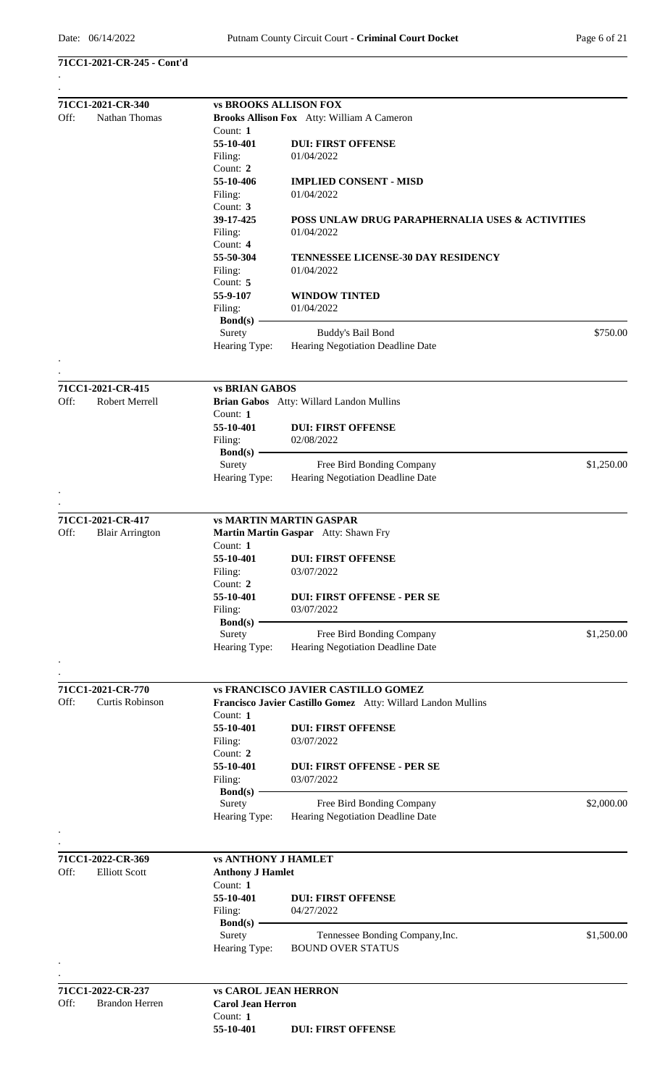## **71CC1-2021-CR-245 - Cont'd**

| 71CC1-2021-CR-340              | <b>vs BROOKS ALLISON FOX</b>         |                                                              |            |
|--------------------------------|--------------------------------------|--------------------------------------------------------------|------------|
| Off:<br>Nathan Thomas          |                                      | <b>Brooks Allison Fox</b> Atty: William A Cameron            |            |
|                                | Count: $1$                           |                                                              |            |
|                                | 55-10-401                            | <b>DUI: FIRST OFFENSE</b>                                    |            |
|                                | Filing:                              | 01/04/2022                                                   |            |
|                                | Count: 2                             |                                                              |            |
|                                | 55-10-406                            | <b>IMPLIED CONSENT - MISD</b>                                |            |
|                                | Filing:<br>Count: 3                  | 01/04/2022                                                   |            |
|                                | 39-17-425                            | POSS UNLAW DRUG PARAPHERNALIA USES & ACTIVITIES              |            |
|                                | Filing:                              | 01/04/2022                                                   |            |
|                                | Count: 4                             |                                                              |            |
|                                | 55-50-304                            | <b>TENNESSEE LICENSE-30 DAY RESIDENCY</b>                    |            |
|                                | Filing:                              | 01/04/2022                                                   |            |
|                                | Count: 5                             |                                                              |            |
|                                | 55-9-107<br>Filing:                  | <b>WINDOW TINTED</b><br>01/04/2022                           |            |
|                                | $Bond(s)$ –                          |                                                              |            |
|                                | Surety                               | Buddy's Bail Bond                                            | \$750.00   |
|                                | Hearing Type:                        | Hearing Negotiation Deadline Date                            |            |
|                                |                                      |                                                              |            |
| 71CC1-2021-CR-415              | <b>vs BRIAN GABOS</b>                |                                                              |            |
| Robert Merrell<br>Off:         |                                      | Brian Gabos Atty: Willard Landon Mullins                     |            |
|                                | Count: $1$                           |                                                              |            |
|                                | 55-10-401                            | <b>DUI: FIRST OFFENSE</b>                                    |            |
|                                | Filing:                              | 02/08/2022                                                   |            |
|                                | $Bond(s)$ –<br>Surety                | Free Bird Bonding Company                                    | \$1,250.00 |
|                                | Hearing Type:                        | Hearing Negotiation Deadline Date                            |            |
|                                |                                      |                                                              |            |
| 71CC1-2021-CR-417              |                                      | <b>vs MARTIN MARTIN GASPAR</b>                               |            |
| Off:<br><b>Blair Arrington</b> |                                      | Martin Martin Gaspar Atty: Shawn Fry                         |            |
|                                | Count: 1                             |                                                              |            |
|                                | 55-10-401                            | <b>DUI: FIRST OFFENSE</b>                                    |            |
|                                | Filing:                              | 03/07/2022                                                   |            |
|                                | Count: 2                             |                                                              |            |
|                                | 55-10-401                            | <b>DUI: FIRST OFFENSE - PER SE</b>                           |            |
|                                | Filing:<br>$Bond(s)$ –               | 03/07/2022                                                   |            |
|                                | Surety                               | Free Bird Bonding Company                                    | \$1,250.00 |
|                                | Hearing Type:                        | Hearing Negotiation Deadline Date                            |            |
|                                |                                      |                                                              |            |
| 71CC1-2021-CR-770              |                                      | <b>vs FRANCISCO JAVIER CASTILLO GOMEZ</b>                    |            |
| Off:<br>Curtis Robinson        |                                      | Francisco Javier Castillo Gomez Atty: Willard Landon Mullins |            |
|                                | Count: 1                             |                                                              |            |
|                                | 55-10-401                            | <b>DUI: FIRST OFFENSE</b>                                    |            |
|                                | Filing:<br>Count: 2                  | 03/07/2022                                                   |            |
|                                | 55-10-401                            | <b>DUI: FIRST OFFENSE - PER SE</b>                           |            |
|                                | Filing:                              | 03/07/2022                                                   |            |
|                                | $Bond(s)$ –                          |                                                              |            |
|                                | Surety                               | Free Bird Bonding Company                                    | \$2,000.00 |
|                                | Hearing Type:                        | Hearing Negotiation Deadline Date                            |            |
|                                |                                      |                                                              |            |
| 71CC1-2022-CR-369              | <b>vs ANTHONY J HAMLET</b>           |                                                              |            |
| Off:<br><b>Elliott Scott</b>   | <b>Anthony J Hamlet</b><br>Count: 1  |                                                              |            |
|                                | 55-10-401                            | <b>DUI: FIRST OFFENSE</b>                                    |            |
|                                | Filing:                              | 04/27/2022                                                   |            |
|                                | <b>Bond</b> (s) -                    |                                                              |            |
|                                | Surety                               | Tennessee Bonding Company, Inc.                              | \$1,500.00 |
|                                | Hearing Type:                        | <b>BOUND OVER STATUS</b>                                     |            |
|                                |                                      |                                                              |            |
| 71CC1-2022-CR-237              | <b>vs CAROL JEAN HERRON</b>          |                                                              |            |
| Off:<br><b>Brandon Herren</b>  | <b>Carol Jean Herron</b><br>Count: 1 |                                                              |            |
|                                | 55-10-401                            | <b>DUI: FIRST OFFENSE</b>                                    |            |
|                                |                                      |                                                              |            |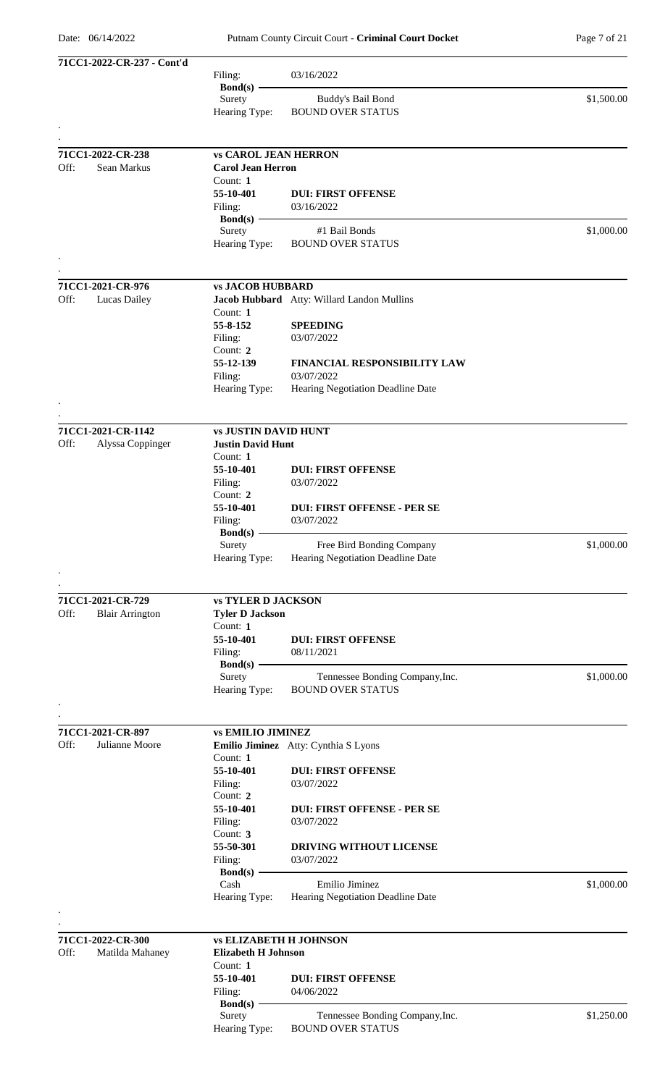Putnam County Circuit Court - **Criminal Court Docket** Page 7 of 21

| 71CC1-2022-CR-237 - Cont'd                          |                                                     |                                                             |            |
|-----------------------------------------------------|-----------------------------------------------------|-------------------------------------------------------------|------------|
|                                                     | Filing:<br>$Bond(s)$ –                              | 03/16/2022                                                  |            |
|                                                     | Surety                                              | Buddy's Bail Bond                                           | \$1,500.00 |
|                                                     | Hearing Type:                                       | <b>BOUND OVER STATUS</b>                                    |            |
|                                                     |                                                     |                                                             |            |
| 71CC1-2022-CR-238                                   | <b>vs CAROL JEAN HERRON</b>                         |                                                             |            |
| Off:<br>Sean Markus                                 | <b>Carol Jean Herron</b><br>Count: $1$              |                                                             |            |
|                                                     | 55-10-401                                           | <b>DUI: FIRST OFFENSE</b>                                   |            |
|                                                     | Filing:                                             | 03/16/2022                                                  |            |
|                                                     | $Bond(s)$ —                                         |                                                             |            |
|                                                     | Surety                                              | #1 Bail Bonds                                               | \$1,000.00 |
|                                                     | Hearing Type:                                       | <b>BOUND OVER STATUS</b>                                    |            |
|                                                     |                                                     |                                                             |            |
| 71CC1-2021-CR-976<br>Off:<br>Lucas Dailey           | <b>vs JACOB HUBBARD</b>                             | Jacob Hubbard Atty: Willard Landon Mullins                  |            |
|                                                     | Count: 1                                            |                                                             |            |
|                                                     | 55-8-152                                            | <b>SPEEDING</b>                                             |            |
|                                                     | Filing:                                             | 03/07/2022                                                  |            |
|                                                     | Count: 2                                            |                                                             |            |
|                                                     | 55-12-139                                           | FINANCIAL RESPONSIBILITY LAW<br>03/07/2022                  |            |
|                                                     | Filing:<br>Hearing Type:                            | Hearing Negotiation Deadline Date                           |            |
|                                                     |                                                     |                                                             |            |
| 71CC1-2021-CR-1142                                  | <b>vs JUSTIN DAVID HUNT</b>                         |                                                             |            |
| Off:<br>Alyssa Coppinger                            | <b>Justin David Hunt</b>                            |                                                             |            |
|                                                     | Count: 1                                            |                                                             |            |
|                                                     | 55-10-401                                           | <b>DUI: FIRST OFFENSE</b>                                   |            |
|                                                     | Filing:<br>Count: 2                                 | 03/07/2022                                                  |            |
|                                                     | 55-10-401                                           | <b>DUI: FIRST OFFENSE - PER SE</b>                          |            |
|                                                     | Filing:                                             | 03/07/2022                                                  |            |
|                                                     | $Bond(s)$ –                                         |                                                             |            |
|                                                     | Surety                                              | Free Bird Bonding Company                                   | \$1,000.00 |
|                                                     | Hearing Type:                                       | Hearing Negotiation Deadline Date                           |            |
|                                                     |                                                     |                                                             |            |
| 71CC1-2021-CR-729<br>Off:<br><b>Blair Arrington</b> | <b>vs TYLER D JACKSON</b><br><b>Tyler D Jackson</b> |                                                             |            |
|                                                     | Count: 1                                            |                                                             |            |
|                                                     | 55-10-401                                           | <b>DUI: FIRST OFFENSE</b>                                   |            |
|                                                     | Filing:                                             | 08/11/2021                                                  |            |
|                                                     | $Bond(s)$ –                                         |                                                             |            |
|                                                     | Surety<br>Hearing Type:                             | Tennessee Bonding Company, Inc.<br><b>BOUND OVER STATUS</b> | \$1,000.00 |
|                                                     |                                                     |                                                             |            |
|                                                     |                                                     |                                                             |            |
| 71CC1-2021-CR-897<br>Off:<br>Julianne Moore         | <b>vs EMILIO JIMINEZ</b>                            | Emilio Jiminez Atty: Cynthia S Lyons                        |            |
|                                                     | Count: 1                                            |                                                             |            |
|                                                     | 55-10-401                                           | <b>DUI: FIRST OFFENSE</b>                                   |            |
|                                                     | Filing:                                             | 03/07/2022                                                  |            |
|                                                     | Count: 2<br>55-10-401                               | <b>DUI: FIRST OFFENSE - PER SE</b>                          |            |
|                                                     | Filing:                                             | 03/07/2022                                                  |            |
|                                                     | Count: 3                                            |                                                             |            |
|                                                     | 55-50-301                                           | DRIVING WITHOUT LICENSE                                     |            |
|                                                     | Filing:                                             | 03/07/2022                                                  |            |
|                                                     | Bond(s) $-$<br>Cash                                 | Emilio Jiminez                                              | \$1,000.00 |
|                                                     | Hearing Type:                                       | Hearing Negotiation Deadline Date                           |            |
|                                                     |                                                     |                                                             |            |
| 71CC1-2022-CR-300                                   | <b>vs ELIZABETH H JOHNSON</b>                       |                                                             |            |
| Off:<br>Matilda Mahaney                             | <b>Elizabeth H Johnson</b>                          |                                                             |            |
|                                                     | Count: 1                                            |                                                             |            |
|                                                     | 55-10-401                                           | <b>DUI: FIRST OFFENSE</b>                                   |            |
|                                                     | Filing:<br>Bond $(s)$ -                             | 04/06/2022                                                  |            |
|                                                     | Surety                                              | Tennessee Bonding Company, Inc.                             | \$1,250.00 |
|                                                     | Hearing Type:                                       | <b>BOUND OVER STATUS</b>                                    |            |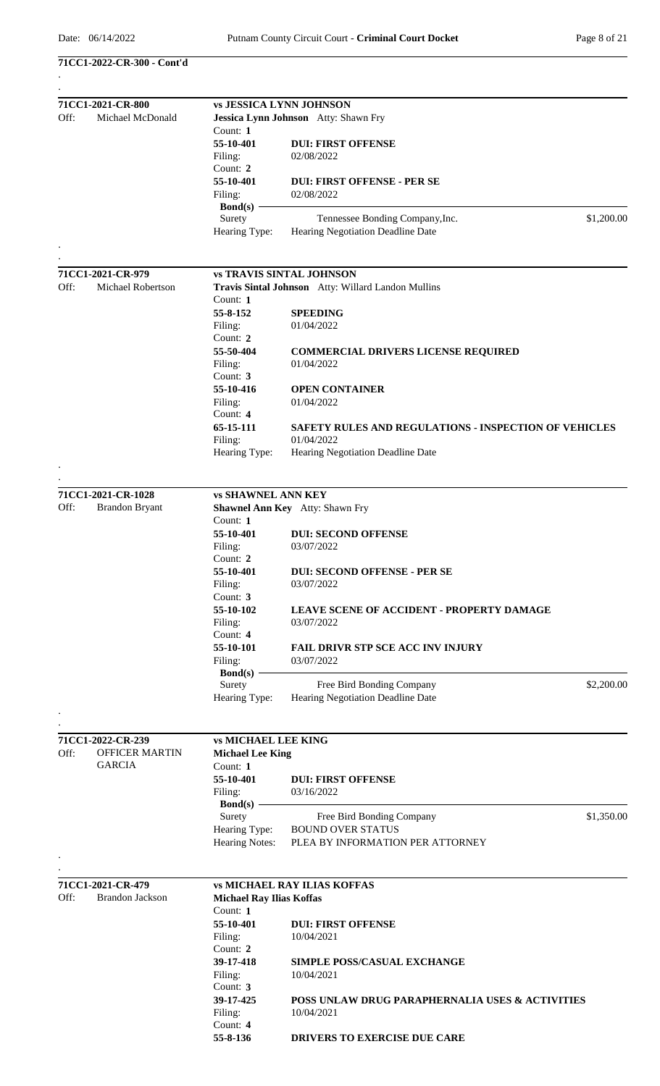**71CC1-2022-CR-300 - Cont'd**

|      | 71CC1-2021-CR-800      |                                 | <b>vs JESSICA LYNN JOHNSON</b>                        |
|------|------------------------|---------------------------------|-------------------------------------------------------|
| Off: | Michael McDonald       |                                 | Jessica Lynn Johnson Atty: Shawn Fry                  |
|      |                        | Count: $1$                      |                                                       |
|      |                        | 55-10-401                       | <b>DUI: FIRST OFFENSE</b>                             |
|      |                        | Filing:                         | 02/08/2022                                            |
|      |                        | Count: $2$                      |                                                       |
|      |                        | 55-10-401                       | <b>DUI: FIRST OFFENSE - PER SE</b>                    |
|      |                        | Filing:                         | 02/08/2022                                            |
|      |                        | $Bond(s)$ –                     |                                                       |
|      |                        | Surety                          | \$1,200.00<br>Tennessee Bonding Company, Inc.         |
|      |                        | Hearing Type:                   | Hearing Negotiation Deadline Date                     |
|      |                        |                                 |                                                       |
|      |                        |                                 |                                                       |
|      | 71CC1-2021-CR-979      |                                 | <b>vs TRAVIS SINTAL JOHNSON</b>                       |
| Off: | Michael Robertson      |                                 | Travis Sintal Johnson Atty: Willard Landon Mullins    |
|      |                        | Count: 1                        |                                                       |
|      |                        | 55-8-152                        | <b>SPEEDING</b>                                       |
|      |                        | Filing:                         | 01/04/2022                                            |
|      |                        | Count: 2                        |                                                       |
|      |                        | 55-50-404                       | <b>COMMERCIAL DRIVERS LICENSE REQUIRED</b>            |
|      |                        | Filing:                         | 01/04/2022                                            |
|      |                        | Count: $3$                      |                                                       |
|      |                        | 55-10-416                       | <b>OPEN CONTAINER</b>                                 |
|      |                        | Filing:                         | 01/04/2022                                            |
|      |                        | Count: $4$                      |                                                       |
|      |                        | 65-15-111                       | SAFETY RULES AND REGULATIONS - INSPECTION OF VEHICLES |
|      |                        | Filing:                         | 01/04/2022                                            |
|      |                        | Hearing Type:                   | Hearing Negotiation Deadline Date                     |
|      |                        |                                 |                                                       |
|      |                        |                                 |                                                       |
|      | 71CC1-2021-CR-1028     | <b>vs SHAWNEL ANN KEY</b>       |                                                       |
| Off: | <b>Brandon Bryant</b>  |                                 | Shawnel Ann Key Atty: Shawn Fry                       |
|      |                        | Count: 1                        |                                                       |
|      |                        | 55-10-401                       | <b>DUI: SECOND OFFENSE</b>                            |
|      |                        | Filing:                         | 03/07/2022                                            |
|      |                        | Count: 2                        |                                                       |
|      |                        | 55-10-401                       | <b>DUI: SECOND OFFENSE - PER SE</b>                   |
|      |                        | Filing:                         | 03/07/2022                                            |
|      |                        | Count: 3                        |                                                       |
|      |                        | 55-10-102                       | LEAVE SCENE OF ACCIDENT - PROPERTY DAMAGE             |
|      |                        | Filing:                         | 03/07/2022                                            |
|      |                        | Count: 4                        |                                                       |
|      |                        | 55-10-101                       | <b>FAIL DRIVR STP SCE ACC INV INJURY</b>              |
|      |                        | Filing:                         | 03/07/2022                                            |
|      |                        | $Bond(s)$ –                     |                                                       |
|      |                        | Surety                          | \$2,200.00<br>Free Bird Bonding Company               |
|      |                        | Hearing Type:                   | Hearing Negotiation Deadline Date                     |
|      |                        |                                 |                                                       |
|      | 71CC1-2022-CR-239      | <b>vs MICHAEL LEE KING</b>      |                                                       |
| Off: | <b>OFFICER MARTIN</b>  | <b>Michael Lee King</b>         |                                                       |
|      | <b>GARCIA</b>          | Count: 1                        |                                                       |
|      |                        | 55-10-401                       | <b>DUI: FIRST OFFENSE</b>                             |
|      |                        | Filing:                         | 03/16/2022                                            |
|      |                        | $Bond(s)$ –                     |                                                       |
|      |                        | Surety                          | \$1,350.00<br>Free Bird Bonding Company               |
|      |                        | Hearing Type:                   | <b>BOUND OVER STATUS</b>                              |
|      |                        | <b>Hearing Notes:</b>           | PLEA BY INFORMATION PER ATTORNEY                      |
|      |                        |                                 |                                                       |
|      |                        |                                 |                                                       |
|      | 71CC1-2021-CR-479      |                                 | <b>vs MICHAEL RAY ILIAS KOFFAS</b>                    |
| Off: | <b>Brandon Jackson</b> | <b>Michael Ray Ilias Koffas</b> |                                                       |
|      |                        | Count: 1                        |                                                       |
|      |                        | 55-10-401                       | <b>DUI: FIRST OFFENSE</b>                             |
|      |                        | Filing:                         | 10/04/2021                                            |
|      |                        | Count: 2                        |                                                       |
|      |                        | 39-17-418                       | <b>SIMPLE POSS/CASUAL EXCHANGE</b>                    |
|      |                        | Filing:                         | 10/04/2021                                            |
|      |                        | Count: 3                        |                                                       |
|      |                        | 39-17-425                       | POSS UNLAW DRUG PARAPHERNALIA USES & ACTIVITIES       |
|      |                        | Filing:                         | 10/04/2021                                            |
|      |                        | Count: 4                        |                                                       |
|      |                        | 55-8-136                        | DRIVERS TO EXERCISE DUE CARE                          |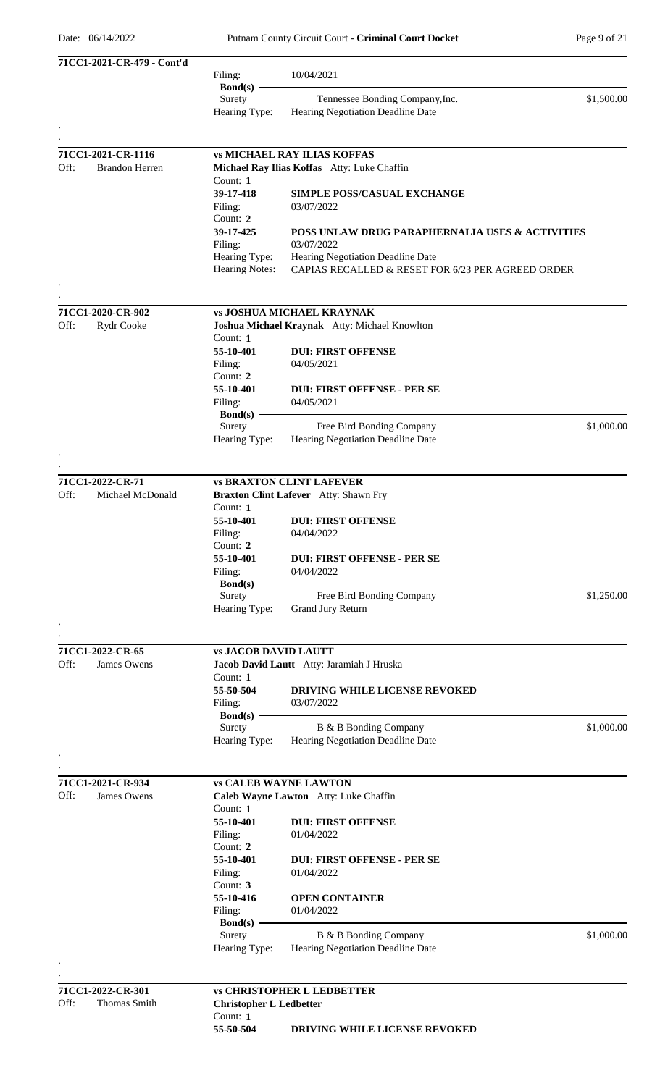| 71CC1-2021-CR-479 - Cont'd    |                                |                                                            |            |
|-------------------------------|--------------------------------|------------------------------------------------------------|------------|
|                               | Filing:                        | 10/04/2021                                                 |            |
|                               | $Bond(s) -$                    |                                                            |            |
|                               | Surety                         | Tennessee Bonding Company, Inc.                            | \$1,500.00 |
|                               | Hearing Type:                  | Hearing Negotiation Deadline Date                          |            |
|                               |                                |                                                            |            |
| 71CC1-2021-CR-1116            |                                | <b>vs MICHAEL RAY ILIAS KOFFAS</b>                         |            |
| <b>Brandon Herren</b><br>Off: |                                | Michael Ray Ilias Koffas Atty: Luke Chaffin                |            |
|                               | Count: $1$                     |                                                            |            |
|                               | 39-17-418                      | <b>SIMPLE POSS/CASUAL EXCHANGE</b>                         |            |
|                               | Filing:                        | 03/07/2022                                                 |            |
|                               | Count: 2                       |                                                            |            |
|                               | 39-17-425                      | POSS UNLAW DRUG PARAPHERNALIA USES & ACTIVITIES            |            |
|                               | Filing:                        | 03/07/2022                                                 |            |
|                               | Hearing Type:                  | Hearing Negotiation Deadline Date                          |            |
|                               | <b>Hearing Notes:</b>          | CAPIAS RECALLED & RESET FOR 6/23 PER AGREED ORDER          |            |
|                               |                                |                                                            |            |
|                               |                                |                                                            |            |
| 71CC1-2020-CR-902             |                                | <b>vs JOSHUA MICHAEL KRAYNAK</b>                           |            |
| Off:<br>Rydr Cooke            |                                | Joshua Michael Kraynak Atty: Michael Knowlton              |            |
|                               | Count: $1$<br>55-10-401        | <b>DUI: FIRST OFFENSE</b>                                  |            |
|                               |                                | 04/05/2021                                                 |            |
|                               | Filing:<br>Count: 2            |                                                            |            |
|                               | 55-10-401                      | <b>DUI: FIRST OFFENSE - PER SE</b>                         |            |
|                               | Filing:                        | 04/05/2021                                                 |            |
|                               | $Bond(s)$ –                    |                                                            |            |
|                               | Surety                         | Free Bird Bonding Company                                  | \$1,000.00 |
|                               | Hearing Type:                  | Hearing Negotiation Deadline Date                          |            |
|                               |                                |                                                            |            |
|                               |                                |                                                            |            |
| 71CC1-2022-CR-71              |                                | <b>vs BRAXTON CLINT LAFEVER</b>                            |            |
| Off:<br>Michael McDonald      |                                | Braxton Clint Lafever Atty: Shawn Fry                      |            |
|                               | Count: 1                       |                                                            |            |
|                               | 55-10-401                      | <b>DUI: FIRST OFFENSE</b>                                  |            |
|                               | Filing:                        | 04/04/2022                                                 |            |
|                               | Count: $2$                     |                                                            |            |
|                               | 55-10-401                      | <b>DUI: FIRST OFFENSE - PER SE</b>                         |            |
|                               | Filing:                        | 04/04/2022                                                 |            |
|                               | $Bond(s)$ –<br>Surety          | Free Bird Bonding Company                                  | \$1,250.00 |
|                               | Hearing Type:                  | Grand Jury Return                                          |            |
|                               |                                |                                                            |            |
|                               |                                |                                                            |            |
| 71CC1-2022-CR-65              | <b>vs JACOB DAVID LAUTT</b>    |                                                            |            |
| Off:<br>James Owens           |                                | Jacob David Lautt Atty: Jaramiah J Hruska                  |            |
|                               | Count: 1                       |                                                            |            |
|                               | 55-50-504                      | <b>DRIVING WHILE LICENSE REVOKED</b>                       |            |
|                               | Filing:                        | 03/07/2022                                                 |            |
|                               | $Bond(s)$ –                    |                                                            |            |
|                               | Surety                         | B & B Bonding Company                                      | \$1,000.00 |
|                               | Hearing Type:                  | Hearing Negotiation Deadline Date                          |            |
|                               |                                |                                                            |            |
| 71CC1-2021-CR-934             |                                | <b>vs CALEB WAYNE LAWTON</b>                               |            |
| Off:<br>James Owens           |                                | Caleb Wayne Lawton Atty: Luke Chaffin                      |            |
|                               | Count: $1$                     |                                                            |            |
|                               | 55-10-401                      | <b>DUI: FIRST OFFENSE</b>                                  |            |
|                               | Filing:                        | 01/04/2022                                                 |            |
|                               | Count: 2                       |                                                            |            |
|                               | 55-10-401                      | <b>DUI: FIRST OFFENSE - PER SE</b>                         |            |
|                               | Filing:                        | 01/04/2022                                                 |            |
|                               | Count: 3                       |                                                            |            |
|                               | 55-10-416                      | <b>OPEN CONTAINER</b>                                      |            |
|                               | Filing:                        | 01/04/2022                                                 |            |
|                               | $Bond(s) -$                    |                                                            |            |
|                               | Surety<br>Hearing Type:        | B & B Bonding Company<br>Hearing Negotiation Deadline Date | \$1,000.00 |
|                               |                                |                                                            |            |
|                               |                                |                                                            |            |
| 71CC1-2022-CR-301             |                                | <b>vs CHRISTOPHER L LEDBETTER</b>                          |            |
| Off:<br>Thomas Smith          | <b>Christopher L Ledbetter</b> |                                                            |            |

Count: **1**<br>**55-50-504 55-50-504 DRIVING WHILE LICENSE REVOKED**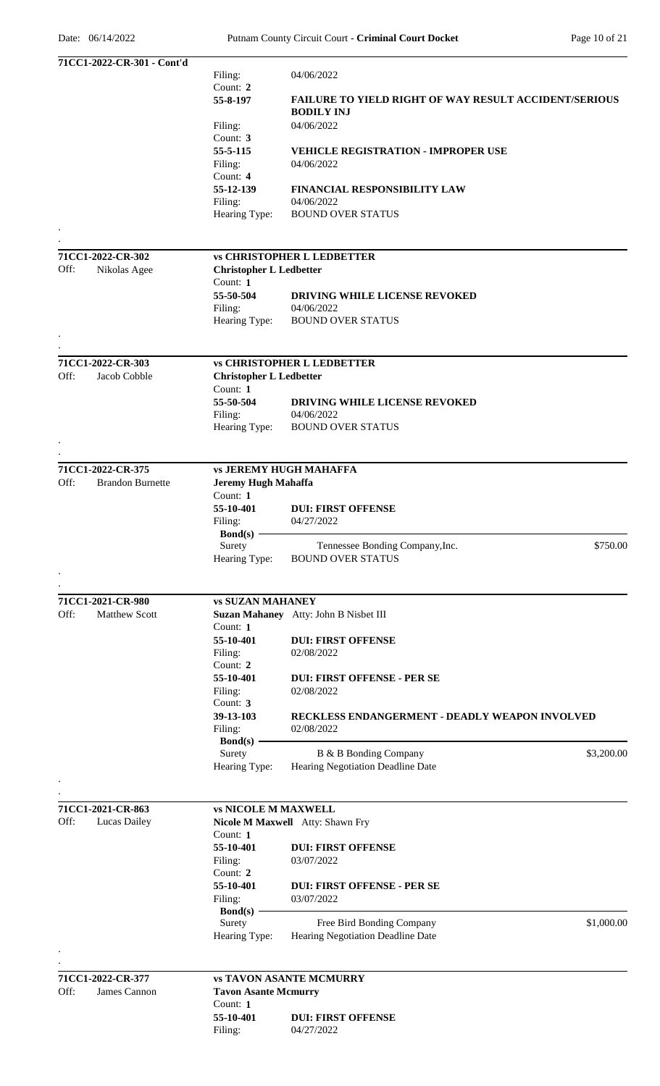| 71CC1-2022-CR-301 - Cont'd      |                                |                                                              |            |
|---------------------------------|--------------------------------|--------------------------------------------------------------|------------|
|                                 | Filing:                        | 04/06/2022                                                   |            |
|                                 | Count: 2                       |                                                              |            |
|                                 | 55-8-197                       | <b>FAILURE TO YIELD RIGHT OF WAY RESULT ACCIDENT/SERIOUS</b> |            |
|                                 |                                | <b>BODILY INJ</b>                                            |            |
|                                 | Filing:                        | 04/06/2022                                                   |            |
|                                 | Count: 3                       |                                                              |            |
|                                 | 55-5-115                       | <b>VEHICLE REGISTRATION - IMPROPER USE</b>                   |            |
|                                 | Filing:                        | 04/06/2022                                                   |            |
|                                 | Count: 4                       |                                                              |            |
|                                 | 55-12-139                      | <b>FINANCIAL RESPONSIBILITY LAW</b>                          |            |
|                                 | Filing:                        | 04/06/2022                                                   |            |
|                                 | Hearing Type:                  | <b>BOUND OVER STATUS</b>                                     |            |
|                                 |                                |                                                              |            |
|                                 |                                |                                                              |            |
| 71CC1-2022-CR-302               |                                | <b>vs CHRISTOPHER L LEDBETTER</b>                            |            |
| Off:<br>Nikolas Agee            | <b>Christopher L Ledbetter</b> |                                                              |            |
|                                 | Count: $1$                     |                                                              |            |
|                                 | 55-50-504                      | <b>DRIVING WHILE LICENSE REVOKED</b>                         |            |
|                                 | Filing:                        | 04/06/2022                                                   |            |
|                                 | Hearing Type:                  | <b>BOUND OVER STATUS</b>                                     |            |
|                                 |                                |                                                              |            |
|                                 |                                |                                                              |            |
| 71CC1-2022-CR-303               |                                | <b>vs CHRISTOPHER L LEDBETTER</b>                            |            |
| Off:<br>Jacob Cobble            | <b>Christopher L Ledbetter</b> |                                                              |            |
|                                 | Count: 1                       |                                                              |            |
|                                 | 55-50-504                      | DRIVING WHILE LICENSE REVOKED                                |            |
|                                 | Filing:                        | 04/06/2022                                                   |            |
|                                 | Hearing Type:                  | <b>BOUND OVER STATUS</b>                                     |            |
|                                 |                                |                                                              |            |
|                                 |                                |                                                              |            |
| 71CC1-2022-CR-375               | <b>vs JEREMY HUGH MAHAFFA</b>  |                                                              |            |
| Off:<br><b>Brandon Burnette</b> | <b>Jeremy Hugh Mahaffa</b>     |                                                              |            |
|                                 | Count: 1                       |                                                              |            |
|                                 | 55-10-401                      | <b>DUI: FIRST OFFENSE</b>                                    |            |
|                                 | Filing:                        | 04/27/2022                                                   |            |
|                                 | $Bond(s)$ –                    |                                                              |            |
|                                 | Surety                         | Tennessee Bonding Company, Inc.                              | \$750.00   |
|                                 | Hearing Type:                  | <b>BOUND OVER STATUS</b>                                     |            |
|                                 |                                |                                                              |            |
|                                 |                                |                                                              |            |
| 71CC1-2021-CR-980               | <b>vs SUZAN MAHANEY</b>        |                                                              |            |
| Off:<br><b>Matthew Scott</b>    |                                | Suzan Mahaney Atty: John B Nisbet III                        |            |
|                                 | Count: $1$                     |                                                              |            |
|                                 | 55-10-401                      | <b>DUI: FIRST OFFENSE</b>                                    |            |
|                                 | Filing:                        | 02/08/2022                                                   |            |
|                                 | Count: $2$                     |                                                              |            |
|                                 | 55-10-401                      | <b>DUI: FIRST OFFENSE - PER SE</b>                           |            |
|                                 | Filing:<br>Count: 3            | 02/08/2022                                                   |            |
|                                 | 39-13-103                      | RECKLESS ENDANGERMENT - DEADLY WEAPON INVOLVED               |            |
|                                 | Filing:                        | 02/08/2022                                                   |            |
|                                 | $Bond(s)$ –                    |                                                              |            |
|                                 | Surety                         | B & B Bonding Company                                        | \$3,200.00 |
|                                 | Hearing Type:                  | Hearing Negotiation Deadline Date                            |            |
|                                 |                                |                                                              |            |
|                                 |                                |                                                              |            |
| 71CC1-2021-CR-863               | <b>vs NICOLE M MAXWELL</b>     |                                                              |            |
| Off:<br>Lucas Dailey            |                                | Nicole M Maxwell Atty: Shawn Fry                             |            |
|                                 | Count: $1$                     |                                                              |            |
|                                 | 55-10-401                      | <b>DUI: FIRST OFFENSE</b>                                    |            |
|                                 | Filing:                        | 03/07/2022                                                   |            |
|                                 | Count: $2$                     |                                                              |            |
|                                 | 55-10-401                      | <b>DUI: FIRST OFFENSE - PER SE</b>                           |            |
|                                 | Filing:                        | 03/07/2022                                                   |            |
|                                 | $Bond(s)$ –                    |                                                              |            |
|                                 | Surety                         | Free Bird Bonding Company                                    | \$1,000.00 |
|                                 | Hearing Type:                  | Hearing Negotiation Deadline Date                            |            |
|                                 |                                |                                                              |            |
|                                 |                                |                                                              |            |
| 71CC1-2022-CR-377               |                                | <b>vs TAVON ASANTE MCMURRY</b>                               |            |
| Off:<br>James Cannon            | <b>Tavon Asante Mcmurry</b>    |                                                              |            |
|                                 | Count: 1                       |                                                              |            |
|                                 | 55-10-401                      | <b>DUI: FIRST OFFENSE</b>                                    |            |
|                                 | Filing:                        | 04/27/2022                                                   |            |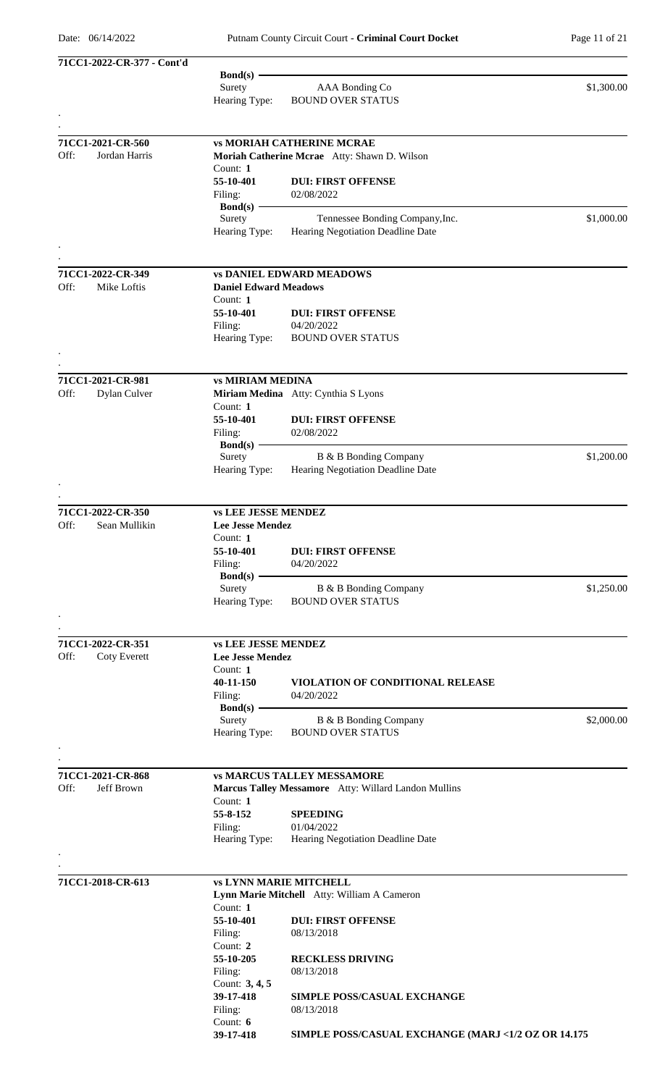| 71CC1-2022-CR-377 - Cont'd  |                              |                                                      |            |
|-----------------------------|------------------------------|------------------------------------------------------|------------|
|                             | Bond(s) $-$                  |                                                      |            |
|                             | Surety                       | AAA Bonding Co                                       | \$1,300.00 |
|                             | Hearing Type:                | <b>BOUND OVER STATUS</b>                             |            |
|                             |                              |                                                      |            |
| 71CC1-2021-CR-560           |                              | <b>vs MORIAH CATHERINE MCRAE</b>                     |            |
| Off:<br>Jordan Harris       |                              | Moriah Catherine Mcrae Atty: Shawn D. Wilson         |            |
|                             | Count: 1                     |                                                      |            |
|                             | 55-10-401                    | <b>DUI: FIRST OFFENSE</b>                            |            |
|                             | Filing:                      | 02/08/2022                                           |            |
|                             | $Bond(s)$ –                  |                                                      |            |
|                             | Surety                       | Tennessee Bonding Company, Inc.                      | \$1,000.00 |
|                             | Hearing Type:                | Hearing Negotiation Deadline Date                    |            |
|                             |                              |                                                      |            |
|                             |                              |                                                      |            |
| 71CC1-2022-CR-349           |                              | <b>vs DANIEL EDWARD MEADOWS</b>                      |            |
| Off:<br>Mike Loftis         | <b>Daniel Edward Meadows</b> |                                                      |            |
|                             | Count: 1                     |                                                      |            |
|                             | 55-10-401                    | <b>DUI: FIRST OFFENSE</b>                            |            |
|                             | Filing:                      | 04/20/2022                                           |            |
|                             | Hearing Type:                | <b>BOUND OVER STATUS</b>                             |            |
|                             |                              |                                                      |            |
| 71CC1-2021-CR-981           | <b>vs MIRIAM MEDINA</b>      |                                                      |            |
| Off:<br>Dylan Culver        |                              | Miriam Medina Atty: Cynthia S Lyons                  |            |
|                             | Count: 1                     |                                                      |            |
|                             | 55-10-401                    | <b>DUI: FIRST OFFENSE</b>                            |            |
|                             | Filing:                      | 02/08/2022                                           |            |
|                             | $Bond(s)$ –                  |                                                      |            |
|                             | Surety                       | B & B Bonding Company                                | \$1,200.00 |
|                             | Hearing Type:                | Hearing Negotiation Deadline Date                    |            |
|                             |                              |                                                      |            |
|                             |                              |                                                      |            |
| 71CC1-2022-CR-350           | <b>vs LEE JESSE MENDEZ</b>   |                                                      |            |
| Sean Mullikin<br>Off:       | <b>Lee Jesse Mendez</b>      |                                                      |            |
|                             | Count: 1                     |                                                      |            |
|                             | 55-10-401                    | <b>DUI: FIRST OFFENSE</b>                            |            |
|                             | Filing:                      | 04/20/2022                                           |            |
|                             | $Bond(s)$ –                  |                                                      |            |
|                             | Surety                       | B & B Bonding Company                                | \$1,250.00 |
|                             | Hearing Type:                | <b>BOUND OVER STATUS</b>                             |            |
|                             |                              |                                                      |            |
| 71CC1-2022-CR-351           | <b>vs LEE JESSE MENDEZ</b>   |                                                      |            |
| Off:<br><b>Coty Everett</b> | <b>Lee Jesse Mendez</b>      |                                                      |            |
|                             | Count: 1                     |                                                      |            |
|                             | 40-11-150                    | VIOLATION OF CONDITIONAL RELEASE                     |            |
|                             | Filing:                      | 04/20/2022                                           |            |
|                             | Bond $(s)$ -                 |                                                      |            |
|                             | Surety                       | B & B Bonding Company                                | \$2,000.00 |
|                             | Hearing Type:                | <b>BOUND OVER STATUS</b>                             |            |
|                             |                              |                                                      |            |
|                             |                              |                                                      |            |
| 71CC1-2021-CR-868           |                              | <b>vs MARCUS TALLEY MESSAMORE</b>                    |            |
| Off:<br>Jeff Brown          |                              | Marcus Talley Messamore Atty: Willard Landon Mullins |            |
|                             | Count: 1                     |                                                      |            |
|                             | 55-8-152                     | <b>SPEEDING</b>                                      |            |
|                             | Filing:<br>Hearing Type:     | 01/04/2022<br>Hearing Negotiation Deadline Date      |            |
|                             |                              |                                                      |            |
|                             |                              |                                                      |            |
| 71CC1-2018-CR-613           |                              | <b>vs LYNN MARIE MITCHELL</b>                        |            |
|                             |                              | Lynn Marie Mitchell Atty: William A Cameron          |            |
|                             | Count: 1                     |                                                      |            |
|                             | 55-10-401                    | <b>DUI: FIRST OFFENSE</b>                            |            |
|                             | Filing:                      | 08/13/2018                                           |            |
|                             | Count: 2                     |                                                      |            |
|                             | 55-10-205                    | <b>RECKLESS DRIVING</b>                              |            |
|                             | Filing:                      | 08/13/2018                                           |            |
|                             | Count: 3, 4, 5               |                                                      |            |
|                             | 39-17-418                    | <b>SIMPLE POSS/CASUAL EXCHANGE</b>                   |            |
|                             | Filing:                      | 08/13/2018                                           |            |
|                             | Count: $6$                   |                                                      |            |
|                             | 39-17-418                    | SIMPLE POSS/CASUAL EXCHANGE (MARJ <1/2 OZ OR 14.175  |            |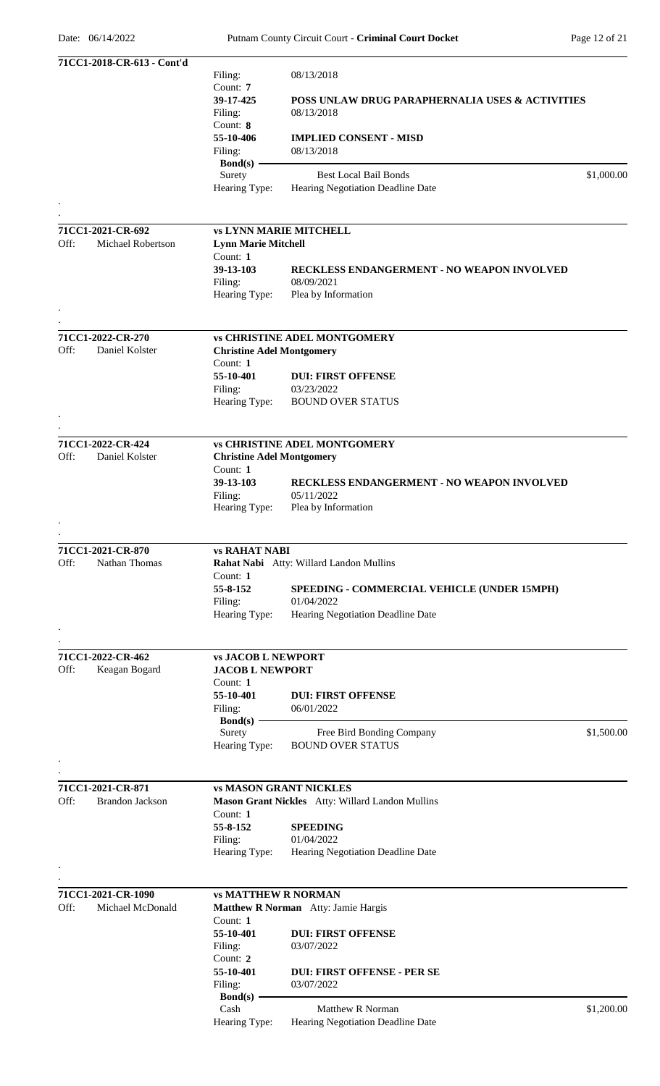|      | 71CC1-2018-CR-613 - Cont'd |                                    |                                                   |            |
|------|----------------------------|------------------------------------|---------------------------------------------------|------------|
|      |                            | Filing:                            | 08/13/2018                                        |            |
|      |                            | Count: 7                           |                                                   |            |
|      |                            | 39-17-425                          | POSS UNLAW DRUG PARAPHERNALIA USES & ACTIVITIES   |            |
|      |                            | Filing:                            | 08/13/2018                                        |            |
|      |                            | Count: 8                           |                                                   |            |
|      |                            | 55-10-406                          | <b>IMPLIED CONSENT - MISD</b><br>08/13/2018       |            |
|      |                            | Filing:<br>$\text{Bond}(s)$ –      |                                                   |            |
|      |                            | Surety                             | <b>Best Local Bail Bonds</b>                      | \$1,000.00 |
|      |                            | Hearing Type:                      | Hearing Negotiation Deadline Date                 |            |
|      |                            |                                    |                                                   |            |
|      |                            |                                    |                                                   |            |
|      | 71CC1-2021-CR-692          |                                    | <b>vs LYNN MARIE MITCHELL</b>                     |            |
| Off: | Michael Robertson          | <b>Lynn Marie Mitchell</b>         |                                                   |            |
|      |                            | Count: 1                           |                                                   |            |
|      |                            | 39-13-103                          | <b>RECKLESS ENDANGERMENT - NO WEAPON INVOLVED</b> |            |
|      |                            | Filing:                            | 08/09/2021                                        |            |
|      |                            | Hearing Type:                      | Plea by Information                               |            |
|      |                            |                                    |                                                   |            |
|      | 71CC1-2022-CR-270          |                                    | <b>vs CHRISTINE ADEL MONTGOMERY</b>               |            |
| Off: | Daniel Kolster             | <b>Christine Adel Montgomery</b>   |                                                   |            |
|      |                            | Count: $1$                         |                                                   |            |
|      |                            | 55-10-401                          | <b>DUI: FIRST OFFENSE</b>                         |            |
|      |                            | Filing:                            | 03/23/2022                                        |            |
|      |                            | Hearing Type:                      | <b>BOUND OVER STATUS</b>                          |            |
|      |                            |                                    |                                                   |            |
|      |                            |                                    |                                                   |            |
|      | 71CC1-2022-CR-424          |                                    | <b>vs CHRISTINE ADEL MONTGOMERY</b>               |            |
| Off: | Daniel Kolster             | <b>Christine Adel Montgomery</b>   |                                                   |            |
|      |                            | Count: 1                           |                                                   |            |
|      |                            | 39-13-103                          | RECKLESS ENDANGERMENT - NO WEAPON INVOLVED        |            |
|      |                            | Filing:<br>Hearing Type:           | 05/11/2022<br>Plea by Information                 |            |
|      |                            |                                    |                                                   |            |
|      |                            |                                    |                                                   |            |
|      | 71CC1-2021-CR-870          | <b>vs RAHAT NABI</b>               |                                                   |            |
| Off: | Nathan Thomas              |                                    | Rahat Nabi Atty: Willard Landon Mullins           |            |
|      |                            | Count: 1                           |                                                   |            |
|      |                            | 55-8-152                           | SPEEDING - COMMERCIAL VEHICLE (UNDER 15MPH)       |            |
|      |                            | Filing:                            | 01/04/2022                                        |            |
|      |                            | Hearing Type:                      | Hearing Negotiation Deadline Date                 |            |
|      |                            |                                    |                                                   |            |
|      |                            |                                    |                                                   |            |
|      | 71CC1-2022-CR-462          | <b>vs JACOB L NEWPORT</b>          |                                                   |            |
| Off: | Keagan Bogard              | <b>JACOB L NEWPORT</b><br>Count: 1 |                                                   |            |
|      |                            | 55-10-401                          | <b>DUI: FIRST OFFENSE</b>                         |            |
|      |                            | Filing:                            | 06/01/2022                                        |            |
|      |                            | $Bond(s)$ –                        |                                                   |            |
|      |                            | Surety                             | Free Bird Bonding Company                         | \$1,500.00 |
|      |                            | Hearing Type:                      | <b>BOUND OVER STATUS</b>                          |            |
|      |                            |                                    |                                                   |            |
|      |                            |                                    |                                                   |            |
|      | 71CC1-2021-CR-871          |                                    | <b>vs MASON GRANT NICKLES</b>                     |            |
| Off: | <b>Brandon Jackson</b>     |                                    | Mason Grant Nickles Atty: Willard Landon Mullins  |            |
|      |                            | Count: 1                           |                                                   |            |
|      |                            | 55-8-152                           | <b>SPEEDING</b>                                   |            |
|      |                            | Filing:<br>Hearing Type:           | 01/04/2022                                        |            |
|      |                            |                                    | Hearing Negotiation Deadline Date                 |            |
|      |                            |                                    |                                                   |            |
|      | 71CC1-2021-CR-1090         | <b>vs MATTHEW R NORMAN</b>         |                                                   |            |
| Off: | Michael McDonald           |                                    | Matthew R Norman Atty: Jamie Hargis               |            |
|      |                            | Count: 1                           |                                                   |            |
|      |                            | 55-10-401                          | <b>DUI: FIRST OFFENSE</b>                         |            |
|      |                            | Filing:                            | 03/07/2022                                        |            |
|      |                            | Count: 2                           |                                                   |            |
|      |                            | 55-10-401                          | <b>DUI: FIRST OFFENSE - PER SE</b>                |            |
|      |                            | Filing:                            | 03/07/2022                                        |            |
|      |                            | Bond(s) $-$<br>Cash                | Matthew R Norman                                  | \$1,200.00 |
|      |                            |                                    |                                                   |            |
|      |                            | Hearing Type:                      | <b>Hearing Negotiation Deadline Date</b>          |            |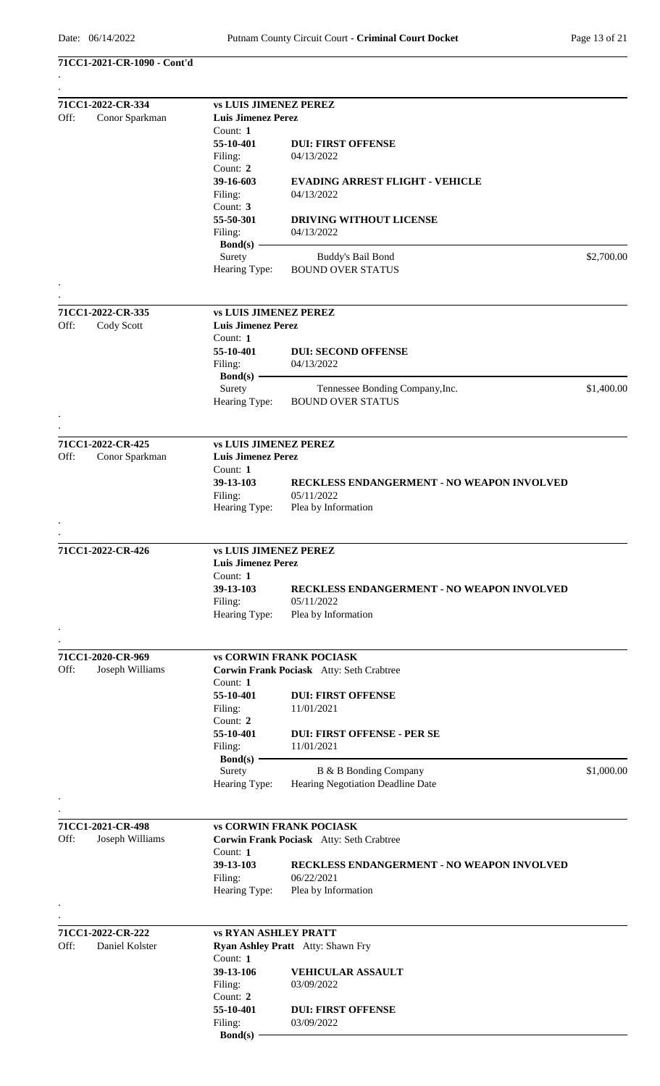#### **71CC1-2021-CR-1090 - Cont'd** .

| 71CC1-2022-CR-334                           | <b>vs LUIS JIMENEZ PEREZ</b>                              |                                            |            |  |  |
|---------------------------------------------|-----------------------------------------------------------|--------------------------------------------|------------|--|--|
| Off:<br>Conor Sparkman                      | <b>Luis Jimenez Perez</b>                                 |                                            |            |  |  |
|                                             | Count: 1                                                  |                                            |            |  |  |
|                                             | 55-10-401                                                 | <b>DUI: FIRST OFFENSE</b>                  |            |  |  |
|                                             |                                                           |                                            |            |  |  |
|                                             | Filing:                                                   | 04/13/2022                                 |            |  |  |
|                                             | Count: 2                                                  |                                            |            |  |  |
|                                             | 39-16-603                                                 | <b>EVADING ARREST FLIGHT - VEHICLE</b>     |            |  |  |
|                                             | Filing:                                                   | 04/13/2022                                 |            |  |  |
|                                             | Count: 3                                                  |                                            |            |  |  |
|                                             | 55-50-301                                                 | DRIVING WITHOUT LICENSE                    |            |  |  |
|                                             | Filing:                                                   | 04/13/2022                                 |            |  |  |
|                                             | Bond(s)                                                   |                                            |            |  |  |
|                                             | Surety                                                    | Buddy's Bail Bond                          | \$2,700.00 |  |  |
|                                             | Hearing Type:                                             | <b>BOUND OVER STATUS</b>                   |            |  |  |
|                                             |                                                           |                                            |            |  |  |
|                                             |                                                           |                                            |            |  |  |
| 71CC1-2022-CR-335                           | <b>vs LUIS JIMENEZ PEREZ</b>                              |                                            |            |  |  |
| Off:<br>Cody Scott                          | <b>Luis Jimenez Perez</b>                                 |                                            |            |  |  |
|                                             | Count: 1                                                  |                                            |            |  |  |
|                                             | 55-10-401                                                 | <b>DUI: SECOND OFFENSE</b>                 |            |  |  |
|                                             | Filing:                                                   | 04/13/2022                                 |            |  |  |
|                                             | $Bond(s)$ –                                               |                                            |            |  |  |
|                                             | Surety                                                    | Tennessee Bonding Company, Inc.            | \$1,400.00 |  |  |
|                                             | Hearing Type:                                             | <b>BOUND OVER STATUS</b>                   |            |  |  |
|                                             |                                                           |                                            |            |  |  |
|                                             |                                                           |                                            |            |  |  |
| 71CC1-2022-CR-425<br>Off:<br>Conor Sparkman | <b>vs LUIS JIMENEZ PEREZ</b><br><b>Luis Jimenez Perez</b> |                                            |            |  |  |
|                                             |                                                           |                                            |            |  |  |
|                                             | Count: 1                                                  |                                            |            |  |  |
|                                             | 39-13-103                                                 | RECKLESS ENDANGERMENT - NO WEAPON INVOLVED |            |  |  |
|                                             | Filing:                                                   | 05/11/2022                                 |            |  |  |
|                                             | Hearing Type:                                             | Plea by Information                        |            |  |  |
|                                             |                                                           |                                            |            |  |  |
| 71CC1-2022-CR-426                           | <b>vs LUIS JIMENEZ PEREZ</b>                              |                                            |            |  |  |
|                                             |                                                           |                                            |            |  |  |
|                                             | Luis Jimenez Perez                                        |                                            |            |  |  |
|                                             | Count: $1$                                                |                                            |            |  |  |
|                                             | 39-13-103                                                 | RECKLESS ENDANGERMENT - NO WEAPON INVOLVED |            |  |  |
|                                             | Filing:                                                   | 05/11/2022                                 |            |  |  |
|                                             | Hearing Type:                                             | Plea by Information                        |            |  |  |
|                                             |                                                           |                                            |            |  |  |
| 71CC1-2020-CR-969                           |                                                           | <b>vs CORWIN FRANK POCIASK</b>             |            |  |  |
| Off:<br>Joseph Williams                     |                                                           |                                            |            |  |  |
|                                             |                                                           | Corwin Frank Pociask Atty: Seth Crabtree   |            |  |  |
|                                             | Count: 1                                                  |                                            |            |  |  |
|                                             | 55-10-401                                                 | <b>DUI: FIRST OFFENSE</b>                  |            |  |  |
|                                             | Filing:                                                   | 11/01/2021                                 |            |  |  |
|                                             | Count: 2                                                  |                                            |            |  |  |
|                                             | 55-10-401                                                 | <b>DUI: FIRST OFFENSE - PER SE</b>         |            |  |  |
|                                             | Filing:                                                   | 11/01/2021                                 |            |  |  |
|                                             | Bond(s) $-$                                               |                                            |            |  |  |
|                                             | Surety                                                    | B & B Bonding Company                      | \$1,000.00 |  |  |
|                                             | Hearing Type:                                             | Hearing Negotiation Deadline Date          |            |  |  |
|                                             |                                                           |                                            |            |  |  |
|                                             |                                                           |                                            |            |  |  |
| 71CC1-2021-CR-498                           |                                                           | <b>vs CORWIN FRANK POCIASK</b>             |            |  |  |
| Off:<br>Joseph Williams                     |                                                           | Corwin Frank Pociask Atty: Seth Crabtree   |            |  |  |
|                                             | Count: 1                                                  |                                            |            |  |  |
|                                             | 39-13-103                                                 | RECKLESS ENDANGERMENT - NO WEAPON INVOLVED |            |  |  |
|                                             | Filing:                                                   | 06/22/2021                                 |            |  |  |
|                                             | Hearing Type:                                             | Plea by Information                        |            |  |  |
|                                             |                                                           |                                            |            |  |  |
|                                             |                                                           |                                            |            |  |  |
| 71CC1-2022-CR-222                           | <b>vs RYAN ASHLEY PRATT</b>                               |                                            |            |  |  |
| Off:<br>Daniel Kolster                      |                                                           | Ryan Ashley Pratt Atty: Shawn Fry          |            |  |  |
|                                             | Count: 1                                                  |                                            |            |  |  |
|                                             | 39-13-106                                                 | <b>VEHICULAR ASSAULT</b>                   |            |  |  |
|                                             |                                                           |                                            |            |  |  |
|                                             | Filing:                                                   | 03/09/2022                                 |            |  |  |
|                                             | Count: 2                                                  |                                            |            |  |  |
|                                             | 55-10-401                                                 | <b>DUI: FIRST OFFENSE</b>                  |            |  |  |
|                                             | Filing:                                                   | 03/09/2022                                 |            |  |  |
|                                             | $Bond(s)$ .                                               |                                            |            |  |  |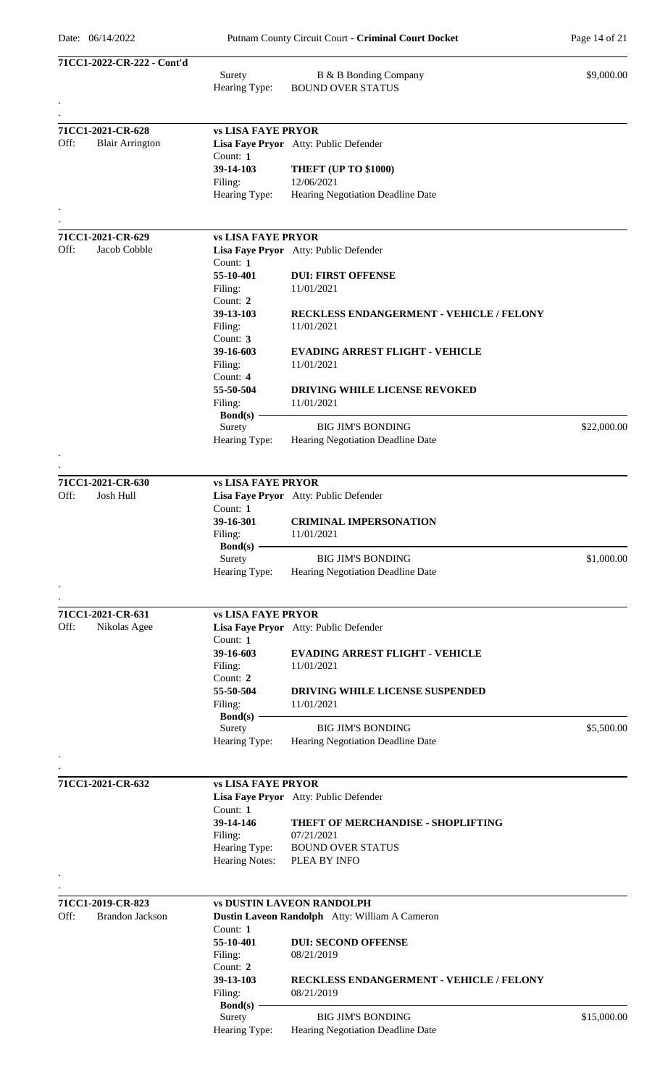| 71CC1-2022-CR-222 - Cont'd     |                           |                                                 |             |
|--------------------------------|---------------------------|-------------------------------------------------|-------------|
|                                | Surety                    | B & B Bonding Company                           | \$9,000.00  |
|                                | Hearing Type:             | <b>BOUND OVER STATUS</b>                        |             |
|                                |                           |                                                 |             |
| 71CC1-2021-CR-628              | <b>vs LISA FAYE PRYOR</b> |                                                 |             |
| Off:<br><b>Blair Arrington</b> | Count: $1$                | Lisa Faye Pryor Atty: Public Defender           |             |
|                                | 39-14-103                 | <b>THEFT (UP TO \$1000)</b>                     |             |
|                                | Filing:                   | 12/06/2021                                      |             |
|                                | Hearing Type:             | Hearing Negotiation Deadline Date               |             |
| 71CC1-2021-CR-629              | <b>vs LISA FAYE PRYOR</b> |                                                 |             |
| Off:<br>Jacob Cobble           |                           | Lisa Faye Pryor Atty: Public Defender           |             |
|                                | Count: $1$                |                                                 |             |
|                                | 55-10-401<br>Filing:      | <b>DUI: FIRST OFFENSE</b><br>11/01/2021         |             |
|                                | Count: 2                  |                                                 |             |
|                                | 39-13-103                 | <b>RECKLESS ENDANGERMENT - VEHICLE / FELONY</b> |             |
|                                | Filing:                   | 11/01/2021                                      |             |
|                                | Count: 3<br>39-16-603     | <b>EVADING ARREST FLIGHT - VEHICLE</b>          |             |
|                                | Filing:                   | 11/01/2021                                      |             |
|                                | Count: $4$                |                                                 |             |
|                                | 55-50-504                 | <b>DRIVING WHILE LICENSE REVOKED</b>            |             |
|                                | Filing:                   | 11/01/2021                                      |             |
|                                | $Bond(s)$ –<br>Surety     | <b>BIG JIM'S BONDING</b>                        | \$22,000.00 |
|                                | Hearing Type:             | Hearing Negotiation Deadline Date               |             |
|                                |                           |                                                 |             |
| 71CC1-2021-CR-630              | <b>vs LISA FAYE PRYOR</b> |                                                 |             |
| Off:<br>Josh Hull              |                           | Lisa Faye Pryor Atty: Public Defender           |             |
|                                | Count: 1                  |                                                 |             |
|                                | 39-16-301                 | <b>CRIMINAL IMPERSONATION</b>                   |             |
|                                | Filing:                   | 11/01/2021                                      |             |
|                                | Bond(s) $-$<br>Surety     | <b>BIG JIM'S BONDING</b>                        | \$1,000.00  |
|                                | Hearing Type:             | Hearing Negotiation Deadline Date               |             |
|                                |                           |                                                 |             |
| 71CC1-2021-CR-631              | <b>vs LISA FAYE PRYOR</b> |                                                 |             |
| Off:<br>Nikolas Agee           |                           | Lisa Faye Pryor Atty: Public Defender           |             |
|                                | Count: 1                  |                                                 |             |
|                                | 39-16-603                 | <b>EVADING ARREST FLIGHT - VEHICLE</b>          |             |
|                                | Filing:                   | 11/01/2021                                      |             |
|                                | Count: 2<br>55-50-504     |                                                 |             |
|                                | Filing:                   | DRIVING WHILE LICENSE SUSPENDED<br>11/01/2021   |             |
|                                | Bond(s) $-$               |                                                 |             |
|                                | Surety                    | <b>BIG JIM'S BONDING</b>                        | \$5,500.00  |
|                                | Hearing Type:             | Hearing Negotiation Deadline Date               |             |
|                                |                           |                                                 |             |
| 71CC1-2021-CR-632              | <b>vs LISA FAYE PRYOR</b> |                                                 |             |
|                                | Count: 1                  | Lisa Faye Pryor Atty: Public Defender           |             |
|                                | 39-14-146                 | THEFT OF MERCHANDISE - SHOPLIFTING              |             |
|                                | Filing:                   | 07/21/2021                                      |             |
|                                | Hearing Type:             | <b>BOUND OVER STATUS</b>                        |             |
|                                | Hearing Notes:            | PLEA BY INFO                                    |             |
|                                |                           |                                                 |             |
| 71CC1-2019-CR-823              |                           | <b>vs DUSTIN LAVEON RANDOLPH</b>                |             |
| Off:<br><b>Brandon Jackson</b> |                           | Dustin Laveon Randolph Atty: William A Cameron  |             |
|                                | Count: $1$                |                                                 |             |
|                                | 55-10-401<br>Filing:      | <b>DUI: SECOND OFFENSE</b><br>08/21/2019        |             |
|                                | Count: $2$                |                                                 |             |
|                                | 39-13-103                 | RECKLESS ENDANGERMENT - VEHICLE / FELONY        |             |
|                                | Filing:                   | 08/21/2019                                      |             |
|                                | <b>Bond(s)</b><br>Surety  | <b>BIG JIM'S BONDING</b>                        | \$15,000.00 |
|                                | Hearing Type:             | Hearing Negotiation Deadline Date               |             |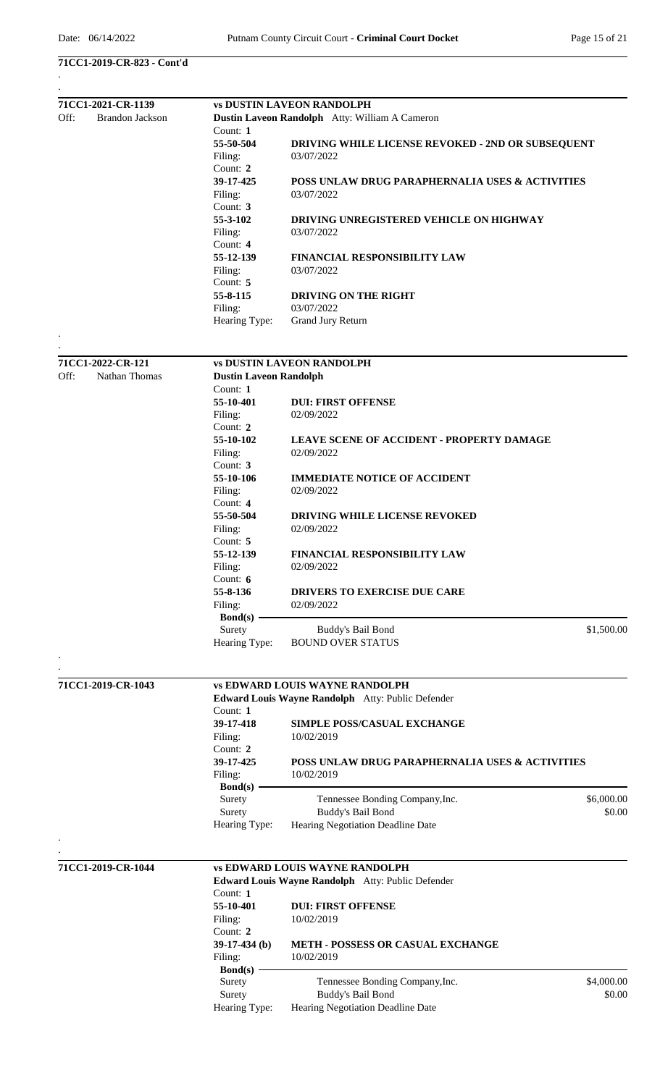### **71CC1-2019-CR-823 - Cont'd**

| 71CC1-2021-CR-1139<br>Off:<br><b>Brandon Jackson</b> | <b>vs DUSTIN LAVEON RANDOLPH</b>                                                           |  |  |  |
|------------------------------------------------------|--------------------------------------------------------------------------------------------|--|--|--|
|                                                      | Dustin Laveon Randolph Atty: William A Cameron                                             |  |  |  |
| Count: $1$                                           |                                                                                            |  |  |  |
| 55-50-504                                            | DRIVING WHILE LICENSE REVOKED - 2ND OR SUBSEQUENT                                          |  |  |  |
| Filing:                                              | 03/07/2022                                                                                 |  |  |  |
| Count: 2                                             |                                                                                            |  |  |  |
| 39-17-425                                            | POSS UNLAW DRUG PARAPHERNALIA USES & ACTIVITIES                                            |  |  |  |
| Filing:                                              | 03/07/2022                                                                                 |  |  |  |
| Count: 3                                             |                                                                                            |  |  |  |
|                                                      |                                                                                            |  |  |  |
| 55-3-102                                             | DRIVING UNREGISTERED VEHICLE ON HIGHWAY                                                    |  |  |  |
| Filing:                                              | 03/07/2022                                                                                 |  |  |  |
| Count: 4                                             |                                                                                            |  |  |  |
| 55-12-139                                            | <b>FINANCIAL RESPONSIBILITY LAW</b>                                                        |  |  |  |
| Filing:                                              | 03/07/2022                                                                                 |  |  |  |
| Count: 5                                             |                                                                                            |  |  |  |
| 55-8-115                                             | DRIVING ON THE RIGHT                                                                       |  |  |  |
| Filing:                                              | 03/07/2022                                                                                 |  |  |  |
| Hearing Type:                                        | <b>Grand Jury Return</b>                                                                   |  |  |  |
|                                                      |                                                                                            |  |  |  |
| 71CC1-2022-CR-121                                    | <b>vs DUSTIN LAVEON RANDOLPH</b>                                                           |  |  |  |
| Off:<br>Nathan Thomas                                | <b>Dustin Laveon Randolph</b>                                                              |  |  |  |
| Count: $1$                                           |                                                                                            |  |  |  |
| 55-10-401                                            | <b>DUI: FIRST OFFENSE</b>                                                                  |  |  |  |
| Filing:                                              | 02/09/2022                                                                                 |  |  |  |
| Count: 2                                             |                                                                                            |  |  |  |
| 55-10-102                                            | <b>LEAVE SCENE OF ACCIDENT - PROPERTY DAMAGE</b>                                           |  |  |  |
| Filing:                                              | 02/09/2022                                                                                 |  |  |  |
| Count: 3                                             |                                                                                            |  |  |  |
| 55-10-106                                            |                                                                                            |  |  |  |
|                                                      | <b>IMMEDIATE NOTICE OF ACCIDENT</b>                                                        |  |  |  |
| Filing:                                              | 02/09/2022                                                                                 |  |  |  |
| Count: $4$                                           |                                                                                            |  |  |  |
| 55-50-504                                            | <b>DRIVING WHILE LICENSE REVOKED</b>                                                       |  |  |  |
| Filing:                                              | 02/09/2022                                                                                 |  |  |  |
| Count: 5                                             |                                                                                            |  |  |  |
| 55-12-139                                            | <b>FINANCIAL RESPONSIBILITY LAW</b>                                                        |  |  |  |
| Filing:                                              | 02/09/2022                                                                                 |  |  |  |
| Count: 6                                             |                                                                                            |  |  |  |
| 55-8-136                                             | <b>DRIVERS TO EXERCISE DUE CARE</b>                                                        |  |  |  |
| Filing:                                              | 02/09/2022                                                                                 |  |  |  |
| $Bond(s)$ –                                          |                                                                                            |  |  |  |
| Surety                                               | Buddy's Bail Bond<br>\$1,500.00                                                            |  |  |  |
| Hearing Type:                                        | <b>BOUND OVER STATUS</b>                                                                   |  |  |  |
|                                                      |                                                                                            |  |  |  |
| 71CC1-2019-CR-1043                                   |                                                                                            |  |  |  |
|                                                      | <b>vs EDWARD LOUIS WAYNE RANDOLPH</b>                                                      |  |  |  |
|                                                      | Edward Louis Wayne Randolph Atty: Public Defender                                          |  |  |  |
| Count: 1                                             |                                                                                            |  |  |  |
| 39-17-418                                            | <b>SIMPLE POSS/CASUAL EXCHANGE</b>                                                         |  |  |  |
| Filing:                                              | 10/02/2019                                                                                 |  |  |  |
| Count: 2                                             |                                                                                            |  |  |  |
| 39-17-425                                            | POSS UNLAW DRUG PARAPHERNALIA USES & ACTIVITIES                                            |  |  |  |
| Filing:                                              | 10/02/2019                                                                                 |  |  |  |
| $Bond(s)$ –                                          |                                                                                            |  |  |  |
| Surety                                               | Tennessee Bonding Company, Inc.<br>\$6,000.00                                              |  |  |  |
| Surety                                               | Buddy's Bail Bond<br>\$0.00                                                                |  |  |  |
| Hearing Type:                                        | Hearing Negotiation Deadline Date                                                          |  |  |  |
|                                                      |                                                                                            |  |  |  |
|                                                      |                                                                                            |  |  |  |
| 71CC1-2019-CR-1044                                   | <b>vs EDWARD LOUIS WAYNE RANDOLPH</b><br>Edward Louis Wayne Randolph Atty: Public Defender |  |  |  |
| Count: 1                                             |                                                                                            |  |  |  |
|                                                      |                                                                                            |  |  |  |
| 55-10-401                                            | <b>DUI: FIRST OFFENSE</b>                                                                  |  |  |  |
| Filing:                                              | 10/02/2019                                                                                 |  |  |  |
| Count: 2                                             |                                                                                            |  |  |  |
| $39-17-434$ (b)                                      | METH - POSSESS OR CASUAL EXCHANGE                                                          |  |  |  |
| Filing:                                              | 10/02/2019                                                                                 |  |  |  |
| $Bond(s)$ –                                          |                                                                                            |  |  |  |
| Surety                                               | Tennessee Bonding Company, Inc.<br>\$4,000.00                                              |  |  |  |
| Surety                                               | Buddy's Bail Bond<br>\$0.00                                                                |  |  |  |
| Hearing Type:                                        | Hearing Negotiation Deadline Date                                                          |  |  |  |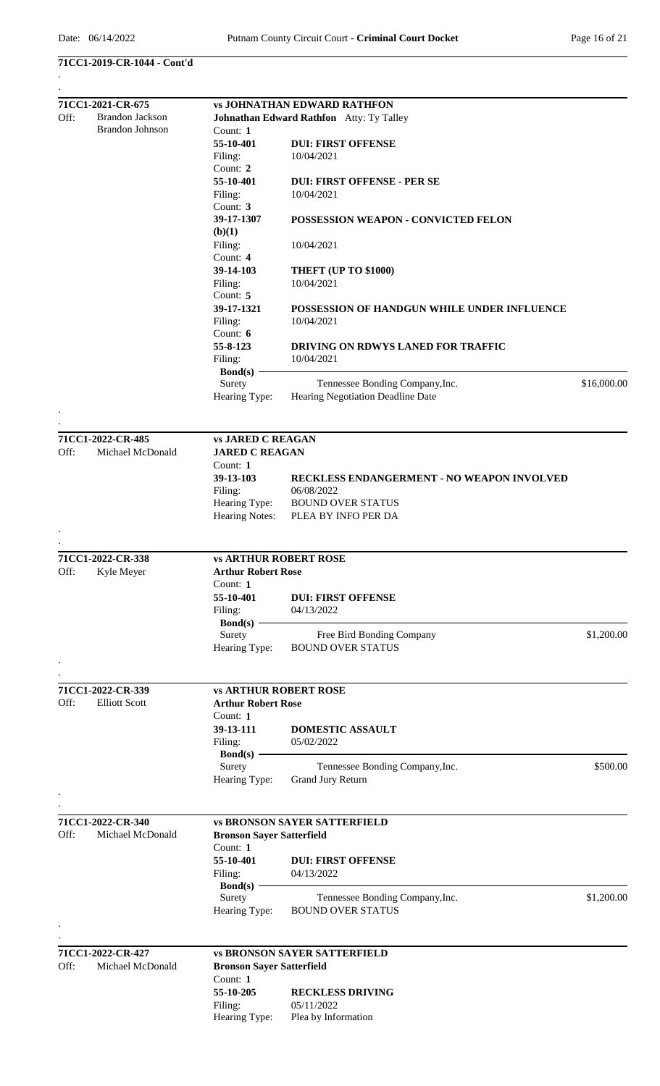### **71CC1-2019-CR-1044 - Cont'd**

|      | 71CC1-2021-CR-675                     |                                        | <b>vs JOHNATHAN EDWARD RATHFON</b>                          |             |
|------|---------------------------------------|----------------------------------------|-------------------------------------------------------------|-------------|
| Off: | <b>Brandon Jackson</b>                |                                        | Johnathan Edward Rathfon Atty: Ty Talley                    |             |
|      | <b>Brandon Johnson</b>                | Count: $1$                             |                                                             |             |
|      |                                       | 55-10-401                              | <b>DUI: FIRST OFFENSE</b>                                   |             |
|      |                                       | Filing:                                | 10/04/2021                                                  |             |
|      |                                       | Count: 2                               |                                                             |             |
|      |                                       | 55-10-401                              | <b>DUI: FIRST OFFENSE - PER SE</b>                          |             |
|      |                                       | Filing:                                | 10/04/2021                                                  |             |
|      |                                       | Count: 3                               |                                                             |             |
|      |                                       | 39-17-1307                             | POSSESSION WEAPON - CONVICTED FELON                         |             |
|      |                                       | (b)(1)                                 |                                                             |             |
|      |                                       | Filing:<br>Count: 4                    | 10/04/2021                                                  |             |
|      |                                       | 39-14-103                              | THEFT (UP TO \$1000)                                        |             |
|      |                                       | Filing:                                | 10/04/2021                                                  |             |
|      |                                       | Count: 5                               |                                                             |             |
|      |                                       | 39-17-1321                             | POSSESSION OF HANDGUN WHILE UNDER INFLUENCE                 |             |
|      |                                       | Filing:                                | 10/04/2021                                                  |             |
|      |                                       | Count: 6                               |                                                             |             |
|      |                                       | 55-8-123                               | DRIVING ON RDWYS LANED FOR TRAFFIC                          |             |
|      |                                       | Filing:                                | 10/04/2021                                                  |             |
|      |                                       | $Bond(s)$ –                            |                                                             |             |
|      |                                       | Surety                                 | Tennessee Bonding Company, Inc.                             | \$16,000.00 |
|      |                                       | Hearing Type:                          | Hearing Negotiation Deadline Date                           |             |
|      |                                       |                                        |                                                             |             |
|      | 71CC1-2022-CR-485                     | <b>vs JARED C REAGAN</b>               |                                                             |             |
| Off: | Michael McDonald                      | <b>JARED C REAGAN</b>                  |                                                             |             |
|      |                                       | Count: 1                               |                                                             |             |
|      |                                       | 39-13-103                              | RECKLESS ENDANGERMENT - NO WEAPON INVOLVED                  |             |
|      |                                       | Filing:                                | 06/08/2022                                                  |             |
|      |                                       | Hearing Type:<br><b>Hearing Notes:</b> | <b>BOUND OVER STATUS</b><br>PLEA BY INFO PER DA             |             |
|      |                                       |                                        |                                                             |             |
|      |                                       |                                        |                                                             |             |
|      | 71CC1-2022-CR-338                     | <b>vs ARTHUR ROBERT ROSE</b>           |                                                             |             |
| Off: | Kyle Meyer                            | <b>Arthur Robert Rose</b>              |                                                             |             |
|      |                                       | Count: 1                               |                                                             |             |
|      |                                       | 55-10-401                              | <b>DUI: FIRST OFFENSE</b><br>04/13/2022                     |             |
|      |                                       | Filing:<br>$\text{Bond}(s)$ –          |                                                             |             |
|      |                                       | Surety                                 | Free Bird Bonding Company                                   | \$1,200.00  |
|      |                                       | Hearing Type:                          | <b>BOUND OVER STATUS</b>                                    |             |
|      |                                       |                                        |                                                             |             |
|      | 71CC1-2022-CR-339                     | <b>vs ARTHUR ROBERT ROSE</b>           |                                                             |             |
| Off: | <b>Elliott Scott</b>                  | <b>Arthur Robert Rose</b>              |                                                             |             |
|      |                                       | Count: 1                               |                                                             |             |
|      |                                       | 39-13-111                              | DOMESTIC ASSAULT                                            |             |
|      |                                       | Filing:                                | 05/02/2022                                                  |             |
|      |                                       | $Bond(s)$ –                            |                                                             |             |
|      |                                       | Surety                                 | Tennessee Bonding Company, Inc.                             | \$500.00    |
|      |                                       | Hearing Type:                          | Grand Jury Return                                           |             |
|      |                                       |                                        |                                                             |             |
|      | 71CC1-2022-CR-340                     |                                        | <b>vs BRONSON SAYER SATTERFIELD</b>                         |             |
| Off: | Michael McDonald                      | <b>Bronson Sayer Satterfield</b>       |                                                             |             |
|      |                                       | Count: 1                               |                                                             |             |
|      |                                       | 55-10-401                              | <b>DUI: FIRST OFFENSE</b>                                   |             |
|      |                                       | Filing:                                | 04/13/2022                                                  |             |
|      |                                       | $Bond(s)$ –<br>Surety                  |                                                             | \$1,200.00  |
|      |                                       | Hearing Type:                          | Tennessee Bonding Company, Inc.<br><b>BOUND OVER STATUS</b> |             |
|      |                                       |                                        |                                                             |             |
|      |                                       |                                        |                                                             |             |
| Off: | 71CC1-2022-CR-427<br>Michael McDonald | <b>Bronson Sayer Satterfield</b>       | <b>vs BRONSON SAYER SATTERFIELD</b>                         |             |
|      |                                       | Count: 1                               |                                                             |             |
|      |                                       | 55-10-205                              | <b>RECKLESS DRIVING</b>                                     |             |
|      |                                       | Filing:                                | 05/11/2022                                                  |             |
|      |                                       | Hearing Type:                          | Plea by Information                                         |             |
|      |                                       |                                        |                                                             |             |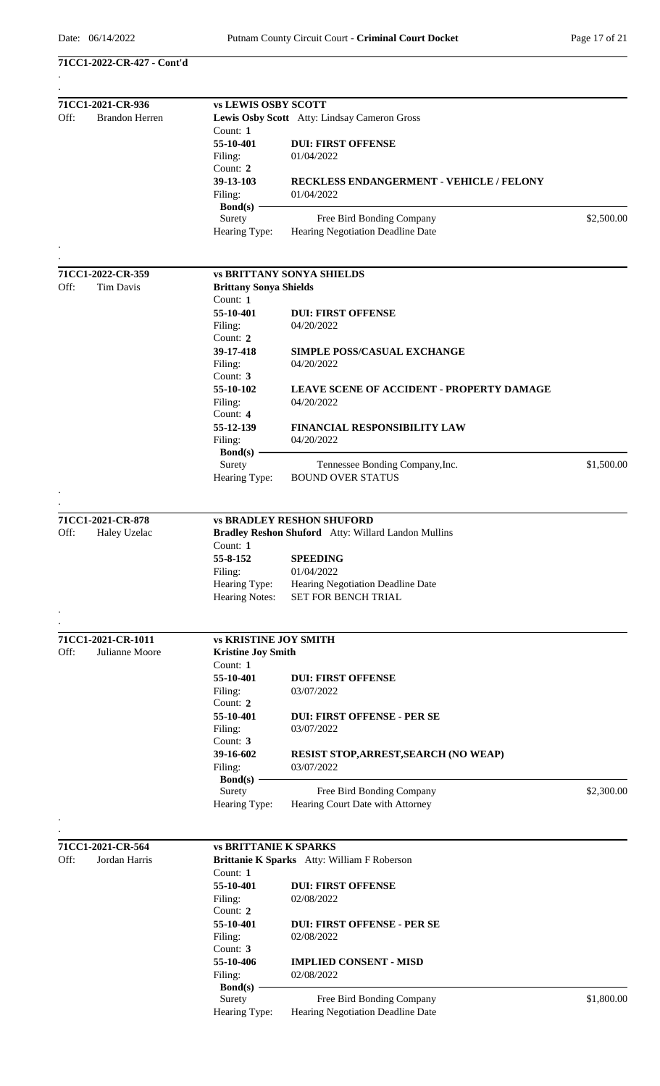**71CC1-2022-CR-427 - Cont'd**

|      | 71CC1-2021-CR-936     | <b>vs LEWIS OSBY SCOTT</b>    |                                                                |            |
|------|-----------------------|-------------------------------|----------------------------------------------------------------|------------|
| Off: | <b>Brandon Herren</b> |                               | Lewis Osby Scott Atty: Lindsay Cameron Gross                   |            |
|      |                       | Count: $1$                    |                                                                |            |
|      |                       | 55-10-401                     | <b>DUI: FIRST OFFENSE</b>                                      |            |
|      |                       | Filing:                       | 01/04/2022                                                     |            |
|      |                       | Count: 2                      |                                                                |            |
|      |                       | 39-13-103                     | <b>RECKLESS ENDANGERMENT - VEHICLE / FELONY</b>                |            |
|      |                       | Filing:                       | 01/04/2022                                                     |            |
|      |                       | $Bond(s) -$<br>Surety         | Free Bird Bonding Company                                      | \$2,500.00 |
|      |                       | Hearing Type:                 | Hearing Negotiation Deadline Date                              |            |
|      |                       |                               |                                                                |            |
|      |                       |                               |                                                                |            |
|      | 71CC1-2022-CR-359     |                               | <b>vs BRITTANY SONYA SHIELDS</b>                               |            |
| Off: | <b>Tim Davis</b>      | <b>Brittany Sonya Shields</b> |                                                                |            |
|      |                       | Count: 1                      |                                                                |            |
|      |                       | 55-10-401                     | <b>DUI: FIRST OFFENSE</b>                                      |            |
|      |                       | Filing:                       | 04/20/2022                                                     |            |
|      |                       | Count: $2$                    |                                                                |            |
|      |                       | 39-17-418                     | <b>SIMPLE POSS/CASUAL EXCHANGE</b>                             |            |
|      |                       | Filing:                       | 04/20/2022                                                     |            |
|      |                       | Count: $3$                    |                                                                |            |
|      |                       | 55-10-102                     | <b>LEAVE SCENE OF ACCIDENT - PROPERTY DAMAGE</b>               |            |
|      |                       | Filing:                       | 04/20/2022                                                     |            |
|      |                       | Count: $4$                    |                                                                |            |
|      |                       | 55-12-139                     | <b>FINANCIAL RESPONSIBILITY LAW</b>                            |            |
|      |                       | Filing:                       | 04/20/2022                                                     |            |
|      |                       | Bond(s)<br>Surety             | Tennessee Bonding Company, Inc.                                | \$1,500.00 |
|      |                       | Hearing Type:                 | <b>BOUND OVER STATUS</b>                                       |            |
|      |                       |                               |                                                                |            |
|      |                       |                               |                                                                |            |
|      | 71CC1-2021-CR-878     |                               | <b>vs BRADLEY RESHON SHUFORD</b>                               |            |
| Off: | Haley Uzelac          |                               | Bradley Reshon Shuford Atty: Willard Landon Mullins            |            |
|      |                       | Count: 1                      |                                                                |            |
|      |                       | 55-8-152                      | <b>SPEEDING</b>                                                |            |
|      |                       | Filing:                       | 01/04/2022                                                     |            |
|      |                       | Hearing Type:                 | Hearing Negotiation Deadline Date                              |            |
|      |                       | <b>Hearing Notes:</b>         | <b>SET FOR BENCH TRIAL</b>                                     |            |
|      |                       |                               |                                                                |            |
|      |                       |                               |                                                                |            |
|      | 71CC1-2021-CR-1011    | <b>vs KRISTINE JOY SMITH</b>  |                                                                |            |
| Off: | Julianne Moore        | <b>Kristine Joy Smith</b>     |                                                                |            |
|      |                       | Count: 1                      |                                                                |            |
|      |                       | 55-10-401                     | <b>DUI: FIRST OFFENSE</b>                                      |            |
|      |                       | Filing:<br>Count: 2           | 03/07/2022                                                     |            |
|      |                       | 55-10-401                     | <b>DUI: FIRST OFFENSE - PER SE</b>                             |            |
|      |                       | Filing:                       | 03/07/2022                                                     |            |
|      |                       | Count: 3                      |                                                                |            |
|      |                       | 39-16-602                     | <b>RESIST STOP, ARREST, SEARCH (NO WEAP)</b>                   |            |
|      |                       | Filing:                       | 03/07/2022                                                     |            |
|      |                       | Bond $(s)$ -                  |                                                                |            |
|      |                       | Surety                        | Free Bird Bonding Company                                      | \$2,300.00 |
|      |                       | Hearing Type:                 | Hearing Court Date with Attorney                               |            |
|      |                       |                               |                                                                |            |
|      |                       |                               |                                                                |            |
|      | 71CC1-2021-CR-564     | <b>vs BRITTANIE K SPARKS</b>  |                                                                |            |
| Off: | Jordan Harris         |                               | Brittanie K Sparks Atty: William F Roberson                    |            |
|      |                       | Count: 1                      |                                                                |            |
|      |                       | 55-10-401                     | <b>DUI: FIRST OFFENSE</b>                                      |            |
|      |                       | Filing:                       | 02/08/2022                                                     |            |
|      |                       | Count: 2                      |                                                                |            |
|      |                       | 55-10-401                     | <b>DUI: FIRST OFFENSE - PER SE</b>                             |            |
|      |                       | Filing:                       | 02/08/2022                                                     |            |
|      |                       | Count: 3                      |                                                                |            |
|      |                       | 55-10-406                     | <b>IMPLIED CONSENT - MISD</b>                                  |            |
|      |                       | Filing:                       | 02/08/2022                                                     |            |
|      |                       | Bond $(s)$ -                  |                                                                | \$1,800.00 |
|      |                       | Surety<br>Hearing Type:       | Free Bird Bonding Company<br>Hearing Negotiation Deadline Date |            |
|      |                       |                               |                                                                |            |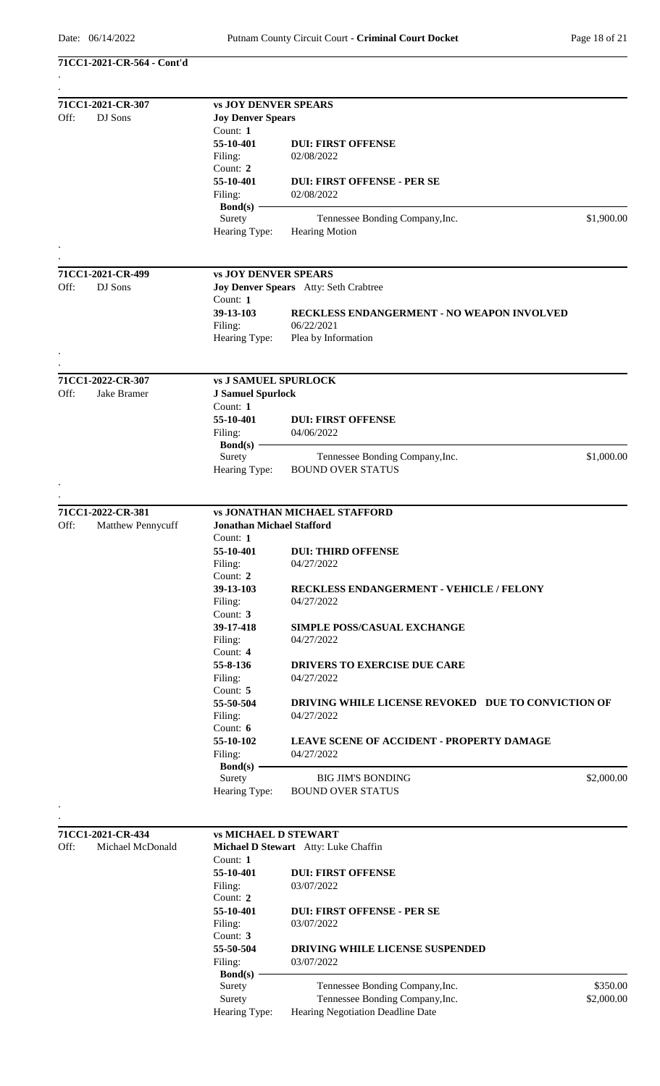**71CC1-2021-CR-564 - Cont'd**

| 71CC1-2021-CR-307         | <b>vs JOY DENVER SPEARS</b>      |                                                    |            |  |
|---------------------------|----------------------------------|----------------------------------------------------|------------|--|
| Off:<br>DJ Sons           | <b>Joy Denver Spears</b>         |                                                    |            |  |
|                           | Count: 1                         |                                                    |            |  |
|                           | 55-10-401                        | <b>DUI: FIRST OFFENSE</b>                          |            |  |
|                           | Filing:                          | 02/08/2022                                         |            |  |
|                           | Count: 2                         |                                                    |            |  |
|                           | 55-10-401                        | <b>DUI: FIRST OFFENSE - PER SE</b>                 |            |  |
|                           | Filing:                          | 02/08/2022                                         |            |  |
|                           | $Bond(s)$ –                      |                                                    |            |  |
|                           | Surety                           | Tennessee Bonding Company, Inc.                    | \$1,900.00 |  |
|                           | Hearing Type:                    | <b>Hearing Motion</b>                              |            |  |
|                           |                                  |                                                    |            |  |
|                           |                                  |                                                    |            |  |
| 71CC1-2021-CR-499         | <b>vs JOY DENVER SPEARS</b>      |                                                    |            |  |
| Off:<br>DJ Sons           |                                  | Joy Denver Spears Atty: Seth Crabtree              |            |  |
|                           | Count: 1                         |                                                    |            |  |
|                           | 39-13-103                        | <b>RECKLESS ENDANGERMENT - NO WEAPON INVOLVED</b>  |            |  |
|                           |                                  | 06/22/2021                                         |            |  |
|                           | Filing:                          |                                                    |            |  |
|                           | Hearing Type:                    | Plea by Information                                |            |  |
|                           |                                  |                                                    |            |  |
| 71CC1-2022-CR-307         |                                  |                                                    |            |  |
|                           | <b>vs J SAMUEL SPURLOCK</b>      |                                                    |            |  |
| Off:<br>Jake Bramer       | <b>J Samuel Spurlock</b>         |                                                    |            |  |
|                           | Count: 1                         |                                                    |            |  |
|                           | 55-10-401                        | <b>DUI: FIRST OFFENSE</b>                          |            |  |
|                           | Filing:                          | 04/06/2022                                         |            |  |
|                           | Bond(s)                          |                                                    |            |  |
|                           | Surety                           | Tennessee Bonding Company, Inc.                    | \$1,000.00 |  |
|                           | Hearing Type:                    | <b>BOUND OVER STATUS</b>                           |            |  |
|                           |                                  |                                                    |            |  |
|                           |                                  |                                                    |            |  |
| 71CC1-2022-CR-381         |                                  | <b>vs JONATHAN MICHAEL STAFFORD</b>                |            |  |
| Off:<br>Matthew Pennycuff | <b>Jonathan Michael Stafford</b> |                                                    |            |  |
|                           | Count: $1$                       |                                                    |            |  |
|                           | 55-10-401                        | <b>DUI: THIRD OFFENSE</b>                          |            |  |
|                           | Filing:                          | 04/27/2022                                         |            |  |
|                           | Count: 2                         |                                                    |            |  |
|                           | 39-13-103                        | <b>RECKLESS ENDANGERMENT - VEHICLE / FELONY</b>    |            |  |
|                           | Filing:                          | 04/27/2022                                         |            |  |
|                           | Count: 3                         |                                                    |            |  |
|                           | 39-17-418                        | <b>SIMPLE POSS/CASUAL EXCHANGE</b>                 |            |  |
|                           | Filing:                          | 04/27/2022                                         |            |  |
|                           | Count: 4                         |                                                    |            |  |
|                           | 55-8-136                         | <b>DRIVERS TO EXERCISE DUE CARE</b>                |            |  |
|                           | Filing:                          | 04/27/2022                                         |            |  |
|                           | Count: 5                         |                                                    |            |  |
|                           | 55-50-504                        | DRIVING WHILE LICENSE REVOKED DUE TO CONVICTION OF |            |  |
|                           | Filing:                          | 04/27/2022                                         |            |  |
|                           | Count: 6                         |                                                    |            |  |
|                           | 55-10-102                        | LEAVE SCENE OF ACCIDENT - PROPERTY DAMAGE          |            |  |
|                           | Filing:                          | 04/27/2022                                         |            |  |
|                           | $Bond(s)$ –                      |                                                    |            |  |
|                           | Surety                           | <b>BIG JIM'S BONDING</b>                           | \$2,000.00 |  |
|                           | Hearing Type:                    | <b>BOUND OVER STATUS</b>                           |            |  |
|                           |                                  |                                                    |            |  |
|                           |                                  |                                                    |            |  |
| 71CC1-2021-CR-434         | <b>vs MICHAEL D STEWART</b>      |                                                    |            |  |
| Off:<br>Michael McDonald  |                                  | Michael D Stewart Atty: Luke Chaffin               |            |  |
|                           | Count: 1                         |                                                    |            |  |
|                           | 55-10-401                        | <b>DUI: FIRST OFFENSE</b>                          |            |  |
|                           | Filing:                          | 03/07/2022                                         |            |  |
|                           | Count: 2                         |                                                    |            |  |
|                           | 55-10-401                        | <b>DUI: FIRST OFFENSE - PER SE</b>                 |            |  |
|                           | Filing:                          | 03/07/2022                                         |            |  |
|                           | Count: 3                         |                                                    |            |  |
|                           | 55-50-504                        | DRIVING WHILE LICENSE SUSPENDED                    |            |  |
|                           | Filing:                          | 03/07/2022                                         |            |  |
|                           | $Bond(s)$ –                      |                                                    |            |  |
|                           | Surety                           | Tennessee Bonding Company, Inc.                    | \$350.00   |  |
|                           | Surety                           | Tennessee Bonding Company, Inc.                    | \$2,000.00 |  |
|                           | Hearing Type:                    | Hearing Negotiation Deadline Date                  |            |  |
|                           |                                  |                                                    |            |  |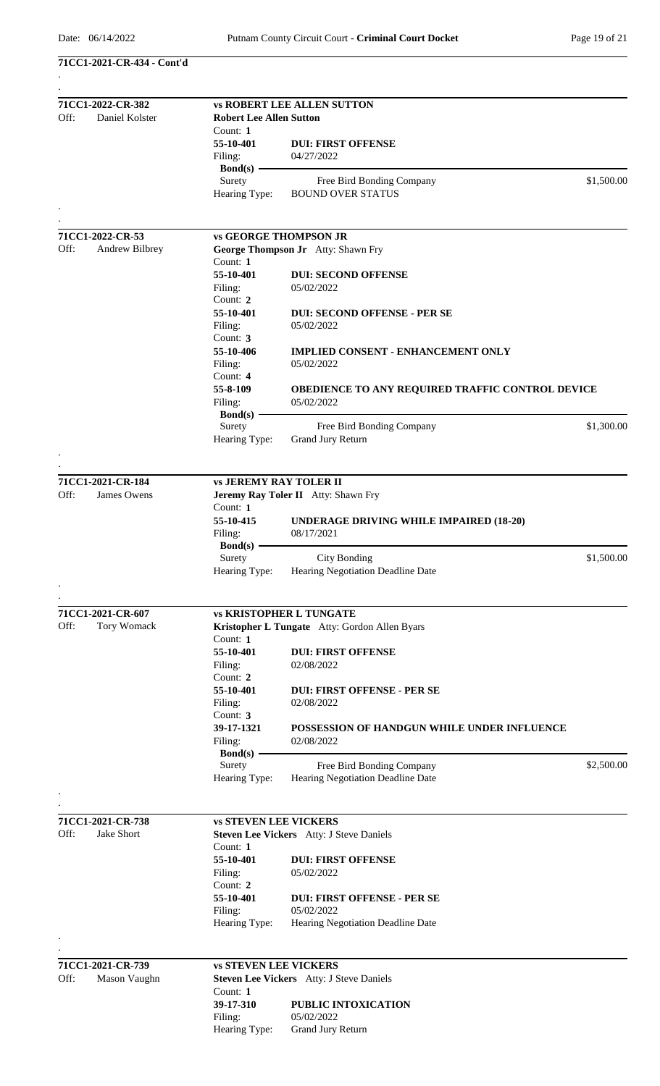**71CC1-2021-CR-434 - Cont'd**

| Off: | 71CC1-2022-CR-382<br>Daniel Kolster |                               | <b>vs ROBERT LEE ALLEN SUTTON</b><br><b>Robert Lee Allen Sutton</b> |            |  |
|------|-------------------------------------|-------------------------------|---------------------------------------------------------------------|------------|--|
|      |                                     | Count: $1$                    |                                                                     |            |  |
|      |                                     | 55-10-401                     | <b>DUI: FIRST OFFENSE</b>                                           |            |  |
|      |                                     | Filing:                       | 04/27/2022                                                          |            |  |
|      |                                     | $Bond(s)$ –                   |                                                                     |            |  |
|      |                                     | Surety                        | Free Bird Bonding Company                                           | \$1,500.00 |  |
|      |                                     | Hearing Type:                 | <b>BOUND OVER STATUS</b>                                            |            |  |
|      |                                     |                               |                                                                     |            |  |
|      |                                     |                               |                                                                     |            |  |
| Off: | 71CC1-2022-CR-53<br>Andrew Bilbrey  | <b>vs GEORGE THOMPSON JR</b>  |                                                                     |            |  |
|      |                                     | Count: 1                      | George Thompson Jr Atty: Shawn Fry                                  |            |  |
|      |                                     | 55-10-401                     | <b>DUI: SECOND OFFENSE</b>                                          |            |  |
|      |                                     | Filing:                       | 05/02/2022                                                          |            |  |
|      |                                     | Count: 2                      |                                                                     |            |  |
|      |                                     | 55-10-401                     | <b>DUI: SECOND OFFENSE - PER SE</b>                                 |            |  |
|      |                                     | Filing:                       | 05/02/2022                                                          |            |  |
|      |                                     | Count: $3$                    |                                                                     |            |  |
|      |                                     | 55-10-406                     | <b>IMPLIED CONSENT - ENHANCEMENT ONLY</b>                           |            |  |
|      |                                     | Filing:                       | 05/02/2022                                                          |            |  |
|      |                                     | Count: 4                      |                                                                     |            |  |
|      |                                     | 55-8-109                      | OBEDIENCE TO ANY REQUIRED TRAFFIC CONTROL DEVICE                    |            |  |
|      |                                     | Filing:                       | 05/02/2022                                                          |            |  |
|      |                                     | Bond(s) $-$                   |                                                                     |            |  |
|      |                                     | Surety<br>Hearing Type:       | Free Bird Bonding Company<br><b>Grand Jury Return</b>               | \$1,300.00 |  |
|      |                                     |                               |                                                                     |            |  |
|      |                                     |                               |                                                                     |            |  |
|      | 71CC1-2021-CR-184                   | <b>vs JEREMY RAY TOLER II</b> |                                                                     |            |  |
| Off: | James Owens                         |                               | Jeremy Ray Toler II Atty: Shawn Fry                                 |            |  |
|      |                                     | Count: 1                      |                                                                     |            |  |
|      |                                     | 55-10-415                     | <b>UNDERAGE DRIVING WHILE IMPAIRED (18-20)</b>                      |            |  |
|      |                                     | Filing:                       | 08/17/2021                                                          |            |  |
|      |                                     | <b>Bond(s)</b>                |                                                                     |            |  |
|      |                                     | Surety                        | <b>City Bonding</b>                                                 | \$1,500.00 |  |
|      |                                     | Hearing Type:                 | Hearing Negotiation Deadline Date                                   |            |  |
|      |                                     |                               |                                                                     |            |  |
|      |                                     |                               |                                                                     |            |  |
|      | 71CC1-2021-CR-607                   |                               | <b>vs KRISTOPHER L TUNGATE</b>                                      |            |  |
| Off: | <b>Tory Womack</b>                  |                               | Kristopher L Tungate Atty: Gordon Allen Byars                       |            |  |
|      |                                     | Count: 1<br>55-10-401         |                                                                     |            |  |
|      |                                     | Filing:                       | <b>DUI: FIRST OFFENSE</b><br>02/08/2022                             |            |  |
|      |                                     | Count: 2                      |                                                                     |            |  |
|      |                                     | 55-10-401                     | <b>DUI: FIRST OFFENSE - PER SE</b>                                  |            |  |
|      |                                     | Filing:                       | 02/08/2022                                                          |            |  |
|      |                                     | Count: 3                      |                                                                     |            |  |
|      |                                     | 39-17-1321                    | POSSESSION OF HANDGUN WHILE UNDER INFLUENCE                         |            |  |
|      |                                     | Filing:                       | 02/08/2022                                                          |            |  |
|      |                                     | Bond $(s)$ -                  |                                                                     |            |  |
|      |                                     | Surety                        | Free Bird Bonding Company                                           | \$2,500.00 |  |
|      |                                     | Hearing Type:                 | Hearing Negotiation Deadline Date                                   |            |  |
|      |                                     |                               |                                                                     |            |  |
|      |                                     |                               |                                                                     |            |  |
|      | 71CC1-2021-CR-738                   | <b>vs STEVEN LEE VICKERS</b>  |                                                                     |            |  |
| Off: | Jake Short                          |                               | Steven Lee Vickers Atty: J Steve Daniels                            |            |  |
|      |                                     | Count: 1                      |                                                                     |            |  |
|      |                                     | 55-10-401                     | <b>DUI: FIRST OFFENSE</b>                                           |            |  |
|      |                                     | Filing:                       | 05/02/2022                                                          |            |  |
|      |                                     | Count: 2<br>55-10-401         |                                                                     |            |  |
|      |                                     | Filing:                       | <b>DUI: FIRST OFFENSE - PER SE</b><br>05/02/2022                    |            |  |
|      |                                     | Hearing Type:                 | Hearing Negotiation Deadline Date                                   |            |  |
|      |                                     |                               |                                                                     |            |  |
|      |                                     |                               |                                                                     |            |  |
|      | 71CC1-2021-CR-739                   | <b>vs STEVEN LEE VICKERS</b>  |                                                                     |            |  |
| Off: | Mason Vaughn                        |                               | Steven Lee Vickers Atty: J Steve Daniels                            |            |  |
|      |                                     | Count: $1$                    |                                                                     |            |  |
|      |                                     | 39-17-310                     | PUBLIC INTOXICATION                                                 |            |  |
|      |                                     | Filing:                       | 05/02/2022                                                          |            |  |
|      |                                     | Hearing Type:                 | Grand Jury Return                                                   |            |  |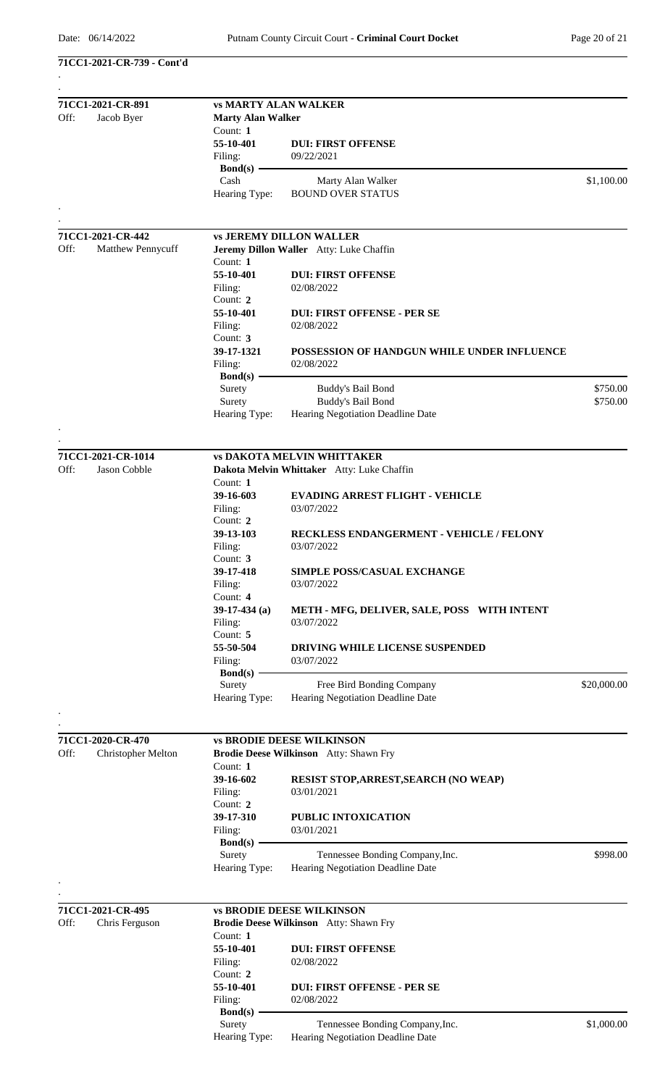**71CC1-2021-CR-739 - Cont'd**

| Off: | 71CC1-2021-CR-891<br>Jacob Byer | <b>vs MARTY ALAN WALKER</b><br><b>Marty Alan Walker</b> |                                                                                    |             |  |
|------|---------------------------------|---------------------------------------------------------|------------------------------------------------------------------------------------|-------------|--|
|      |                                 | Count: $1$                                              |                                                                                    |             |  |
|      |                                 | 55-10-401                                               | <b>DUI: FIRST OFFENSE</b>                                                          |             |  |
|      |                                 | Filing:                                                 | 09/22/2021                                                                         |             |  |
|      |                                 | Bond(s) $-$<br>Cash                                     | Marty Alan Walker                                                                  | \$1,100.00  |  |
|      |                                 | Hearing Type:                                           | <b>BOUND OVER STATUS</b>                                                           |             |  |
|      |                                 |                                                         |                                                                                    |             |  |
|      |                                 |                                                         |                                                                                    |             |  |
|      | 71CC1-2021-CR-442               |                                                         | <b>vs JEREMY DILLON WALLER</b>                                                     |             |  |
| Off: | Matthew Pennycuff               | Count: 1                                                | Jeremy Dillon Waller Atty: Luke Chaffin                                            |             |  |
|      |                                 | 55-10-401                                               | <b>DUI: FIRST OFFENSE</b>                                                          |             |  |
|      |                                 | Filing:                                                 | 02/08/2022                                                                         |             |  |
|      |                                 | Count: 2                                                |                                                                                    |             |  |
|      |                                 | 55-10-401                                               | <b>DUI: FIRST OFFENSE - PER SE</b>                                                 |             |  |
|      |                                 | Filing:                                                 | 02/08/2022                                                                         |             |  |
|      |                                 | Count: $3$                                              |                                                                                    |             |  |
|      |                                 | 39-17-1321<br>Filing:                                   | POSSESSION OF HANDGUN WHILE UNDER INFLUENCE<br>02/08/2022                          |             |  |
|      |                                 | $Bond(s)$ –                                             |                                                                                    |             |  |
|      |                                 | Surety                                                  | Buddy's Bail Bond                                                                  | \$750.00    |  |
|      |                                 | Surety                                                  | <b>Buddy's Bail Bond</b>                                                           | \$750.00    |  |
|      |                                 | Hearing Type:                                           | Hearing Negotiation Deadline Date                                                  |             |  |
|      |                                 |                                                         |                                                                                    |             |  |
|      | 71CC1-2021-CR-1014              |                                                         | <b>vs DAKOTA MELVIN WHITTAKER</b>                                                  |             |  |
| Off: | Jason Cobble                    |                                                         | Dakota Melvin Whittaker Atty: Luke Chaffin                                         |             |  |
|      |                                 | Count: 1                                                |                                                                                    |             |  |
|      |                                 | 39-16-603                                               | <b>EVADING ARREST FLIGHT - VEHICLE</b>                                             |             |  |
|      |                                 | Filing:                                                 | 03/07/2022                                                                         |             |  |
|      |                                 | Count: 2<br>39-13-103                                   | RECKLESS ENDANGERMENT - VEHICLE / FELONY                                           |             |  |
|      |                                 | Filing:                                                 | 03/07/2022                                                                         |             |  |
|      |                                 | Count: 3                                                |                                                                                    |             |  |
|      |                                 | 39-17-418                                               | SIMPLE POSS/CASUAL EXCHANGE                                                        |             |  |
|      |                                 | Filing:                                                 | 03/07/2022                                                                         |             |  |
|      |                                 | Count: 4                                                |                                                                                    |             |  |
|      |                                 | $39-17-434$ (a)                                         | METH - MFG, DELIVER, SALE, POSS WITH INTENT                                        |             |  |
|      |                                 | Filing:<br>Count: 5                                     | 03/07/2022                                                                         |             |  |
|      |                                 | 55-50-504                                               | DRIVING WHILE LICENSE SUSPENDED                                                    |             |  |
|      |                                 | Filing:                                                 | 03/07/2022                                                                         |             |  |
|      |                                 | $Bond(s)$ –                                             |                                                                                    |             |  |
|      |                                 | Surety                                                  | Free Bird Bonding Company                                                          | \$20,000.00 |  |
|      |                                 | Hearing Type:                                           | Hearing Negotiation Deadline Date                                                  |             |  |
|      |                                 |                                                         |                                                                                    |             |  |
|      | 71CC1-2020-CR-470               |                                                         | <b>vs BRODIE DEESE WILKINSON</b>                                                   |             |  |
| Off: | <b>Christopher Melton</b>       |                                                         | Brodie Deese Wilkinson Atty: Shawn Fry                                             |             |  |
|      |                                 | Count: 1                                                |                                                                                    |             |  |
|      |                                 | 39-16-602<br>Filing:                                    | <b>RESIST STOP, ARREST, SEARCH (NO WEAP)</b><br>03/01/2021                         |             |  |
|      |                                 | Count: 2                                                |                                                                                    |             |  |
|      |                                 | 39-17-310                                               | PUBLIC INTOXICATION                                                                |             |  |
|      |                                 | Filing:                                                 | 03/01/2021                                                                         |             |  |
|      |                                 | $Bond(s)$ —                                             |                                                                                    |             |  |
|      |                                 | Surety                                                  | Tennessee Bonding Company, Inc.                                                    | \$998.00    |  |
|      |                                 | Hearing Type:                                           | Hearing Negotiation Deadline Date                                                  |             |  |
|      |                                 |                                                         |                                                                                    |             |  |
|      | 71CC1-2021-CR-495               |                                                         | <b>vs BRODIE DEESE WILKINSON</b>                                                   |             |  |
| Off: | Chris Ferguson                  |                                                         | Brodie Deese Wilkinson Atty: Shawn Fry                                             |             |  |
|      |                                 | Count: 1                                                |                                                                                    |             |  |
|      |                                 | 55-10-401<br>Filing:                                    | <b>DUI: FIRST OFFENSE</b><br>02/08/2022                                            |             |  |
|      |                                 | Count: 2                                                |                                                                                    |             |  |
|      |                                 | 55-10-401                                               | <b>DUI: FIRST OFFENSE - PER SE</b>                                                 |             |  |
|      |                                 | Filing:                                                 | 02/08/2022                                                                         |             |  |
|      |                                 | $Bond(s)$ –                                             |                                                                                    |             |  |
|      |                                 | Surety                                                  | Tennessee Bonding Company, Inc.<br>Hearing Type: Hearing Negotiation Deadline Date | \$1,000.00  |  |
|      |                                 |                                                         |                                                                                    |             |  |